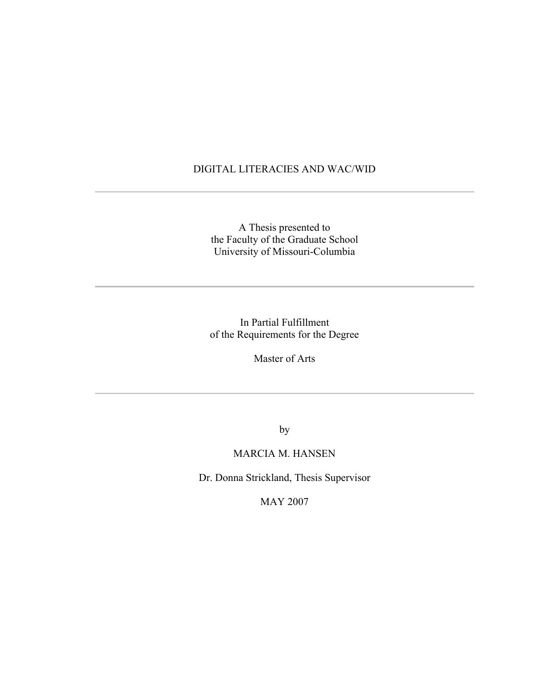### DIGITAL LITERACIES AND WAC/WID

A Thesis presented to the Faculty of the Graduate School University of Missouri-Columbia

In Partial Fulfillment of the Requirements for the Degree

Master of Arts

by

## MARCIA M. HANSEN

Dr. Donna Strickland, Thesis Supervisor

MAY 2007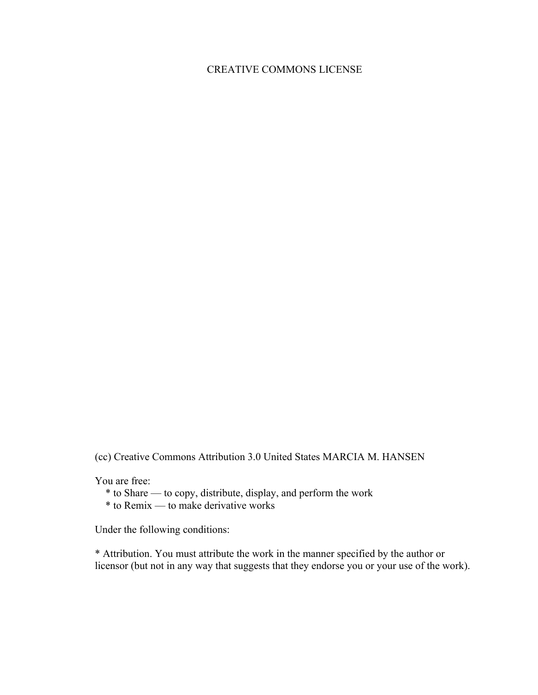# CREATIVE COMMONS LICENSE

(cc) Creative Commons Attribution 3.0 United States MARCIA M. HANSEN

You are free:

\* to Share — to copy, distribute, display, and perform the work

 $*$  to Remix — to make derivative works

Under the following conditions:

\* Attribution. You must attribute the work in the manner specified by the author or licensor (but not in any way that suggests that they endorse you or your use of the work).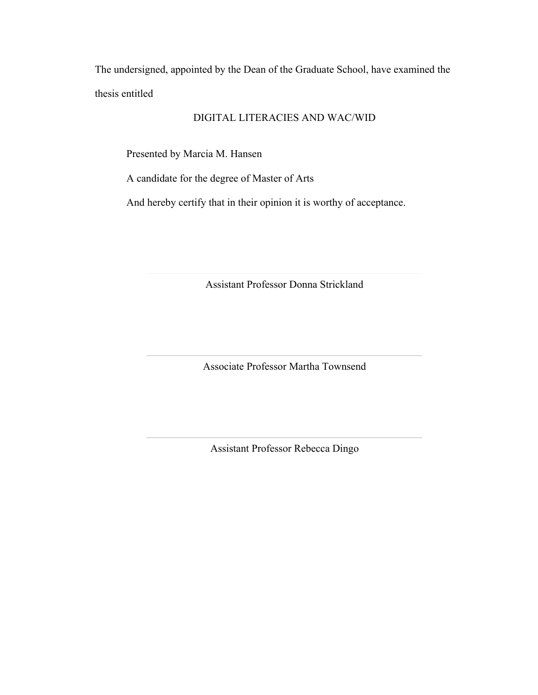The undersigned, appointed by the Dean of the Graduate School, have examined the thesis entitled

## DIGITAL LITERACIES AND WAC/WID

Presented by Marcia M. Hansen

A candidate for the degree of Master of Arts

And hereby certify that in their opinion it is worthy of acceptance.

Assistant Professor Donna Strickland

Associate Professor Martha Townsend

Assistant Professor Rebecca Dingo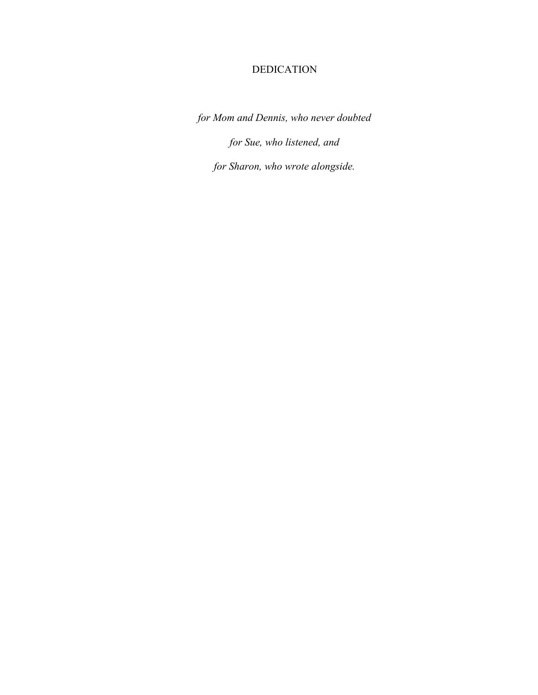# DEDICATION

*for Mom and Dennis, who never doubted for Sue, who listened, and for Sharon, who wrote alongside.*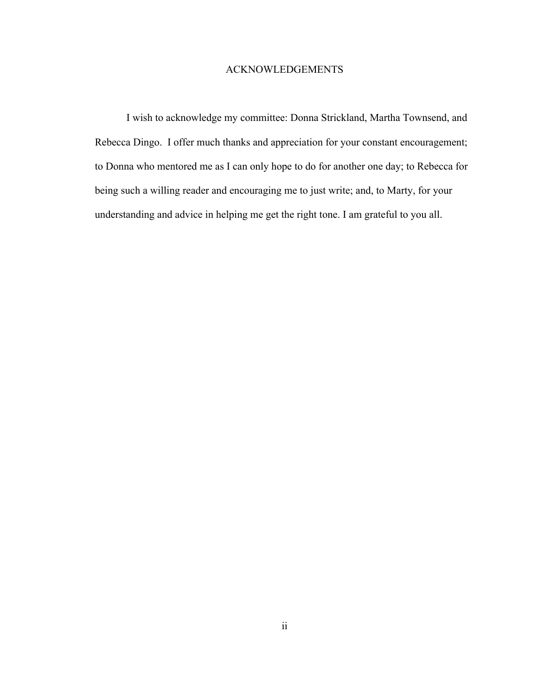#### ACKNOWLEDGEMENTS

I wish to acknowledge my committee: Donna Strickland, Martha Townsend, and Rebecca Dingo. I offer much thanks and appreciation for your constant encouragement; to Donna who mentored me as I can only hope to do for another one day; to Rebecca for being such a willing reader and encouraging me to just write; and, to Marty, for your understanding and advice in helping me get the right tone. I am grateful to you all.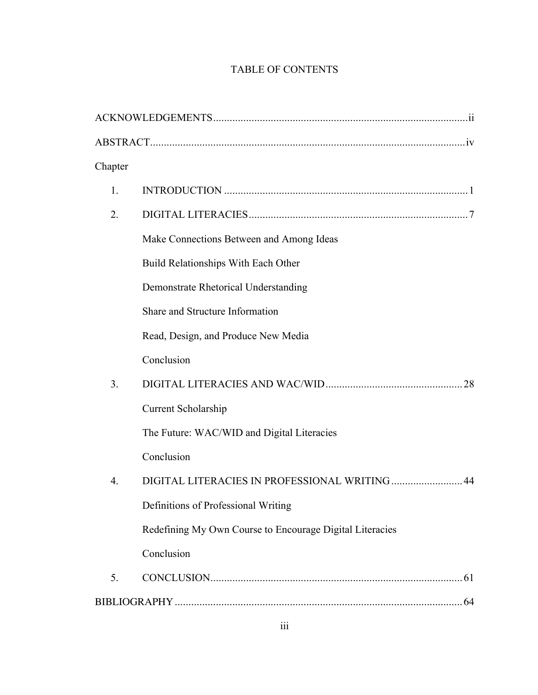# TABLE OF CONTENTS

| Chapter        |                                                          |
|----------------|----------------------------------------------------------|
| 1.             |                                                          |
| 2.             |                                                          |
|                | Make Connections Between and Among Ideas                 |
|                | Build Relationships With Each Other                      |
|                | Demonstrate Rhetorical Understanding                     |
|                | Share and Structure Information                          |
|                | Read, Design, and Produce New Media                      |
|                | Conclusion                                               |
| 3 <sub>1</sub> |                                                          |
|                | <b>Current Scholarship</b>                               |
|                | The Future: WAC/WID and Digital Literacies               |
|                | Conclusion                                               |
| 4.             | DIGITAL LITERACIES IN PROFESSIONAL WRITING  44           |
|                | Definitions of Professional Writing                      |
|                | Redefining My Own Course to Encourage Digital Literacies |
|                | Conclusion                                               |
| 5.             |                                                          |
|                |                                                          |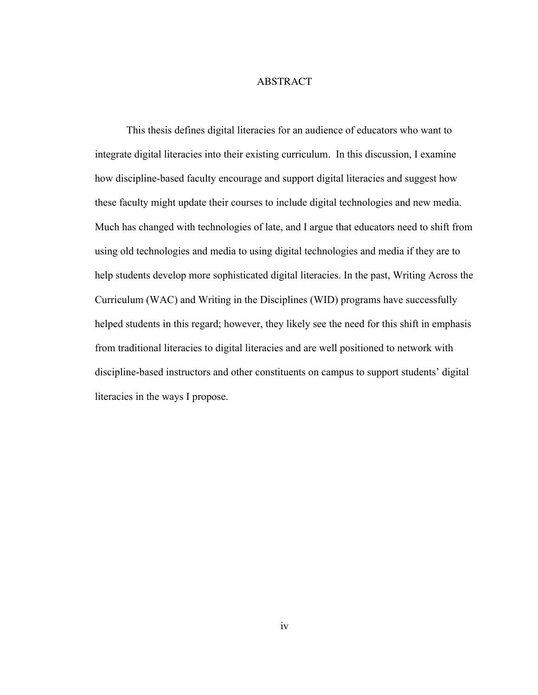#### ABSTRACT

This thesis defines digital literacies for an audience of educators who want to integrate digital literacies into their existing curriculum. In this discussion, I examine how discipline-based faculty encourage and support digital literacies and suggest how these faculty might update their courses to include digital technologies and new media. Much has changed with technologies of late, and I argue that educators need to shift from using old technologies and media to using digital technologies and media if they are to help students develop more sophisticated digital literacies. In the past, Writing Across the Curriculum (WAC) and Writing in the Disciplines (WID) programs have successfully helped students in this regard; however, they likely see the need for this shift in emphasis from traditional literacies to digital literacies and are well positioned to network with discipline-based instructors and other constituents on campus to support students' digital literacies in the ways I propose.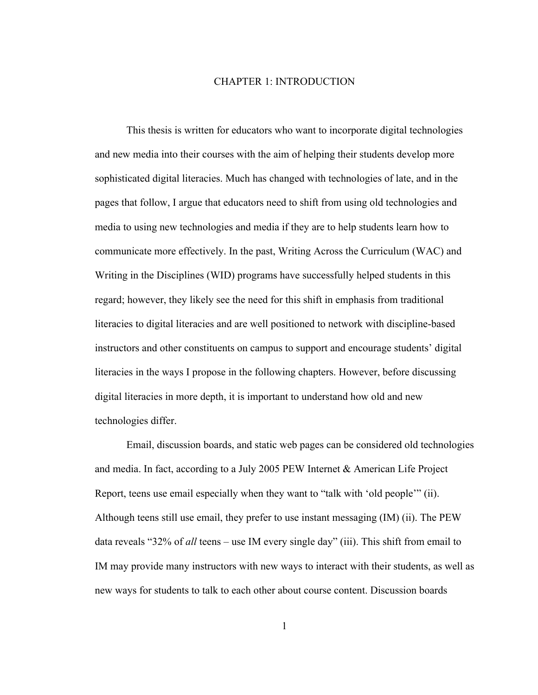#### CHAPTER 1: INTRODUCTION

This thesis is written for educators who want to incorporate digital technologies and new media into their courses with the aim of helping their students develop more sophisticated digital literacies. Much has changed with technologies of late, and in the pages that follow, I argue that educators need to shift from using old technologies and media to using new technologies and media if they are to help students learn how to communicate more effectively. In the past, Writing Across the Curriculum (WAC) and Writing in the Disciplines (WID) programs have successfully helped students in this regard; however, they likely see the need for this shift in emphasis from traditional literacies to digital literacies and are well positioned to network with discipline-based instructors and other constituents on campus to support and encourage students' digital literacies in the ways I propose in the following chapters. However, before discussing digital literacies in more depth, it is important to understand how old and new technologies differ.

Email, discussion boards, and static web pages can be considered old technologies and media. In fact, according to a July 2005 PEW Internet & American Life Project Report, teens use email especially when they want to "talk with 'old people'" (ii). Although teens still use email, they prefer to use instant messaging (IM) (ii). The PEW data reveals "32% of *all* teens – use IM every single day" (iii). This shift from email to IM may provide many instructors with new ways to interact with their students, as well as new ways for students to talk to each other about course content. Discussion boards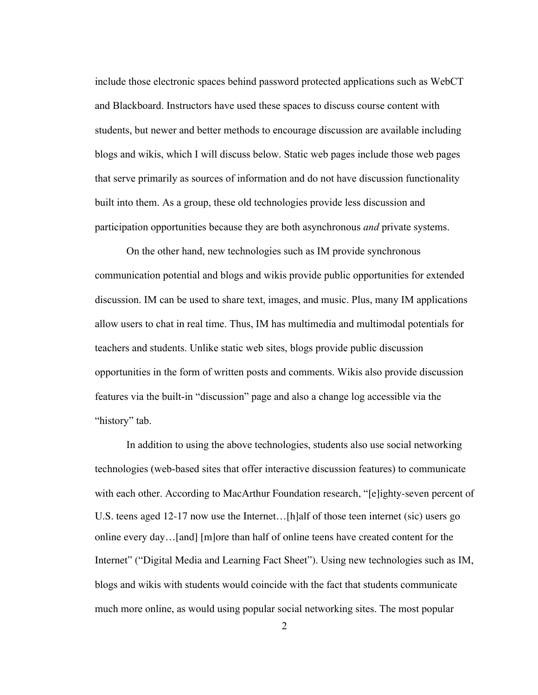include those electronic spaces behind password protected applications such as WebCT and Blackboard. Instructors have used these spaces to discuss course content with students, but newer and better methods to encourage discussion are available including blogs and wikis, which I will discuss below. Static web pages include those web pages that serve primarily as sources of information and do not have discussion functionality built into them. As a group, these old technologies provide less discussion and participation opportunities because they are both asynchronous *and* private systems.

On the other hand, new technologies such as IM provide synchronous communication potential and blogs and wikis provide public opportunities for extended discussion. IM can be used to share text, images, and music. Plus, many IM applications allow users to chat in real time. Thus, IM has multimedia and multimodal potentials for teachers and students. Unlike static web sites, blogs provide public discussion opportunities in the form of written posts and comments. Wikis also provide discussion features via the built-in "discussion" page and also a change log accessible via the "history" tab.

In addition to using the above technologies, students also use social networking technologies (web-based sites that offer interactive discussion features) to communicate with each other. According to MacArthur Foundation research, "[e]ighty-seven percent of U.S. teens aged 12-17 now use the Internet…[h]alf of those teen internet (sic) users go online every day…[and] [m]ore than half of online teens have created content for the Internet" ("Digital Media and Learning Fact Sheet"). Using new technologies such as IM, blogs and wikis with students would coincide with the fact that students communicate much more online, as would using popular social networking sites. The most popular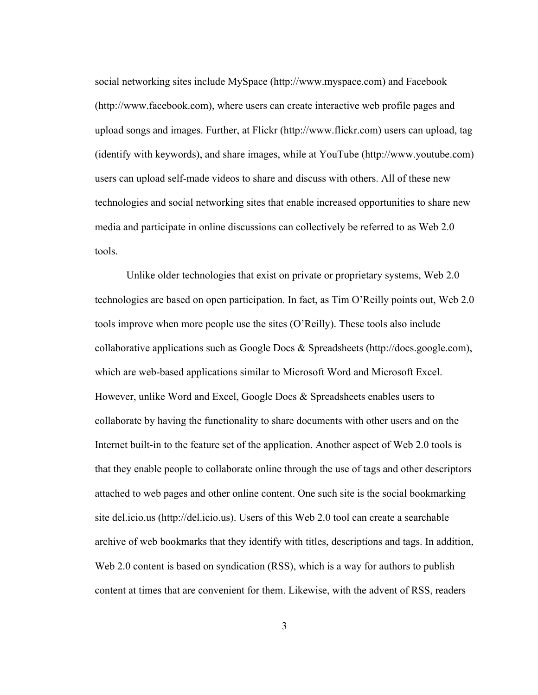social networking sites include MySpace (http://www.myspace.com) and Facebook (http://www.facebook.com), where users can create interactive web profile pages and upload songs and images. Further, at Flickr (http://www.flickr.com) users can upload, tag (identify with keywords), and share images, while at YouTube (http://www.youtube.com) users can upload self-made videos to share and discuss with others. All of these new technologies and social networking sites that enable increased opportunities to share new media and participate in online discussions can collectively be referred to as Web 2.0 tools.

Unlike older technologies that exist on private or proprietary systems, Web 2.0 technologies are based on open participation. In fact, as Tim O'Reilly points out, Web 2.0 tools improve when more people use the sites (O'Reilly). These tools also include collaborative applications such as Google Docs & Spreadsheets (http://docs.google.com), which are web-based applications similar to Microsoft Word and Microsoft Excel. However, unlike Word and Excel, Google Docs & Spreadsheets enables users to collaborate by having the functionality to share documents with other users and on the Internet built-in to the feature set of the application. Another aspect of Web 2.0 tools is that they enable people to collaborate online through the use of tags and other descriptors attached to web pages and other online content. One such site is the social bookmarking site del.icio.us (http://del.icio.us). Users of this Web 2.0 tool can create a searchable archive of web bookmarks that they identify with titles, descriptions and tags. In addition, Web 2.0 content is based on syndication (RSS), which is a way for authors to publish content at times that are convenient for them. Likewise, with the advent of RSS, readers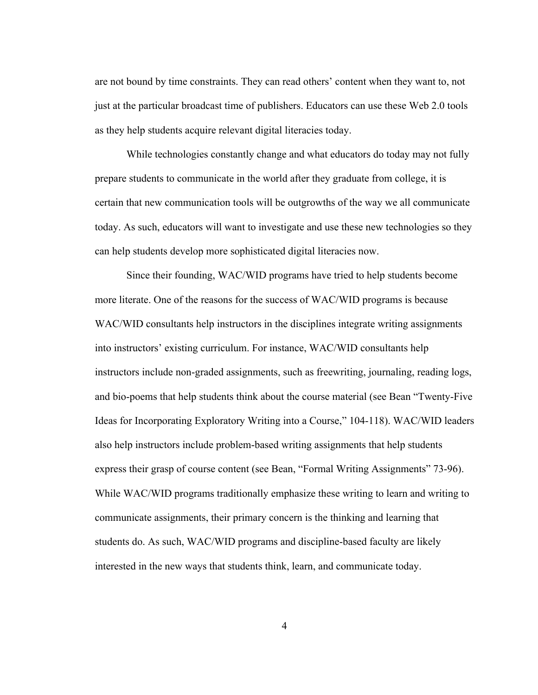are not bound by time constraints. They can read others' content when they want to, not just at the particular broadcast time of publishers. Educators can use these Web 2.0 tools as they help students acquire relevant digital literacies today.

While technologies constantly change and what educators do today may not fully prepare students to communicate in the world after they graduate from college, it is certain that new communication tools will be outgrowths of the way we all communicate today. As such, educators will want to investigate and use these new technologies so they can help students develop more sophisticated digital literacies now.

Since their founding, WAC/WID programs have tried to help students become more literate. One of the reasons for the success of WAC/WID programs is because WAC/WID consultants help instructors in the disciplines integrate writing assignments into instructors' existing curriculum. For instance, WAC/WID consultants help instructors include non-graded assignments, such as freewriting, journaling, reading logs, and bio-poems that help students think about the course material (see Bean "Twenty-Five Ideas for Incorporating Exploratory Writing into a Course," 104-118). WAC/WID leaders also help instructors include problem-based writing assignments that help students express their grasp of course content (see Bean, "Formal Writing Assignments" 73-96). While WAC/WID programs traditionally emphasize these writing to learn and writing to communicate assignments, their primary concern is the thinking and learning that students do. As such, WAC/WID programs and discipline-based faculty are likely interested in the new ways that students think, learn, and communicate today.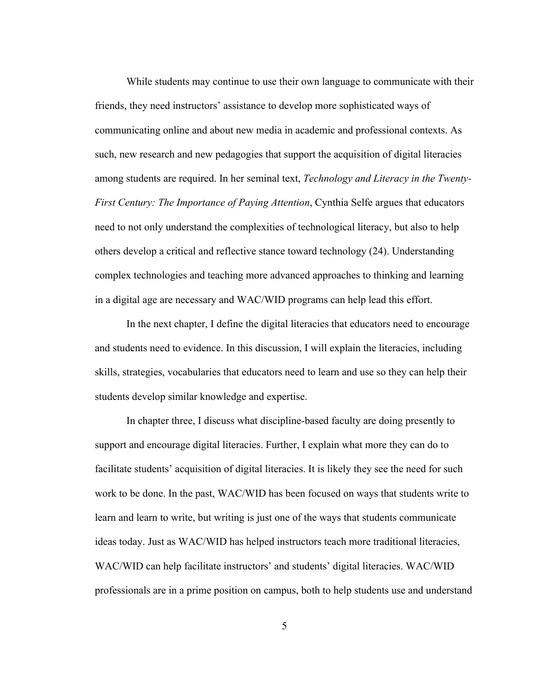While students may continue to use their own language to communicate with their friends, they need instructors' assistance to develop more sophisticated ways of communicating online and about new media in academic and professional contexts. As such, new research and new pedagogies that support the acquisition of digital literacies among students are required. In her seminal text, *Technology and Literacy in the Twenty-First Century: The Importance of Paying Attention*, Cynthia Selfe argues that educators need to not only understand the complexities of technological literacy, but also to help others develop a critical and reflective stance toward technology (24). Understanding complex technologies and teaching more advanced approaches to thinking and learning in a digital age are necessary and WAC/WID programs can help lead this effort.

In the next chapter, I define the digital literacies that educators need to encourage and students need to evidence. In this discussion, I will explain the literacies, including skills, strategies, vocabularies that educators need to learn and use so they can help their students develop similar knowledge and expertise.

In chapter three, I discuss what discipline-based faculty are doing presently to support and encourage digital literacies. Further, I explain what more they can do to facilitate students' acquisition of digital literacies. It is likely they see the need for such work to be done. In the past, WAC/WID has been focused on ways that students write to learn and learn to write, but writing is just one of the ways that students communicate ideas today. Just as WAC/WID has helped instructors teach more traditional literacies, WAC/WID can help facilitate instructors' and students' digital literacies. WAC/WID professionals are in a prime position on campus, both to help students use and understand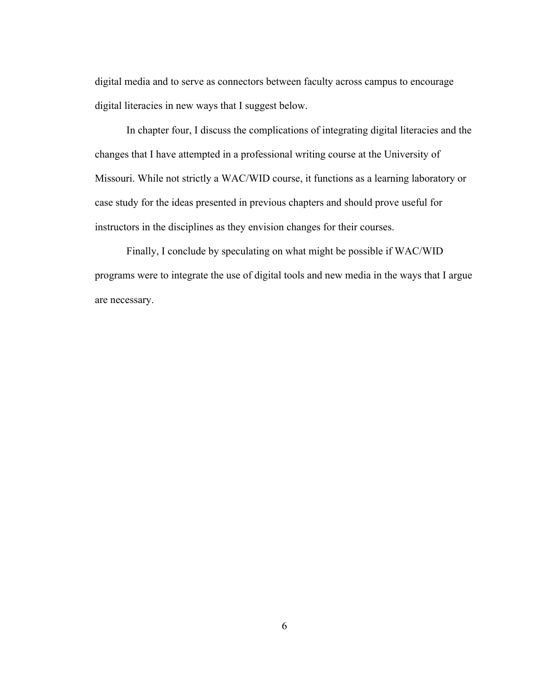digital media and to serve as connectors between faculty across campus to encourage digital literacies in new ways that I suggest below.

In chapter four, I discuss the complications of integrating digital literacies and the changes that I have attempted in a professional writing course at the University of Missouri. While not strictly a WAC/WID course, it functions as a learning laboratory or case study for the ideas presented in previous chapters and should prove useful for instructors in the disciplines as they envision changes for their courses.

Finally, I conclude by speculating on what might be possible if WAC/WID programs were to integrate the use of digital tools and new media in the ways that I argue are necessary.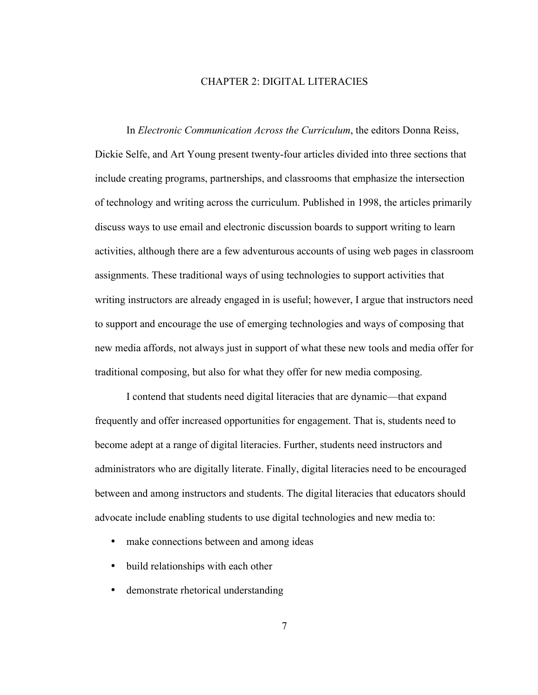#### CHAPTER 2: DIGITAL LITERACIES

In *Electronic Communication Across the Curriculum*, the editors Donna Reiss, Dickie Selfe, and Art Young present twenty-four articles divided into three sections that include creating programs, partnerships, and classrooms that emphasize the intersection of technology and writing across the curriculum. Published in 1998, the articles primarily discuss ways to use email and electronic discussion boards to support writing to learn activities, although there are a few adventurous accounts of using web pages in classroom assignments. These traditional ways of using technologies to support activities that writing instructors are already engaged in is useful; however, I argue that instructors need to support and encourage the use of emerging technologies and ways of composing that new media affords, not always just in support of what these new tools and media offer for traditional composing, but also for what they offer for new media composing.

I contend that students need digital literacies that are dynamic—that expand frequently and offer increased opportunities for engagement. That is, students need to become adept at a range of digital literacies. Further, students need instructors and administrators who are digitally literate. Finally, digital literacies need to be encouraged between and among instructors and students. The digital literacies that educators should advocate include enabling students to use digital technologies and new media to:

- make connections between and among ideas
- build relationships with each other
- demonstrate rhetorical understanding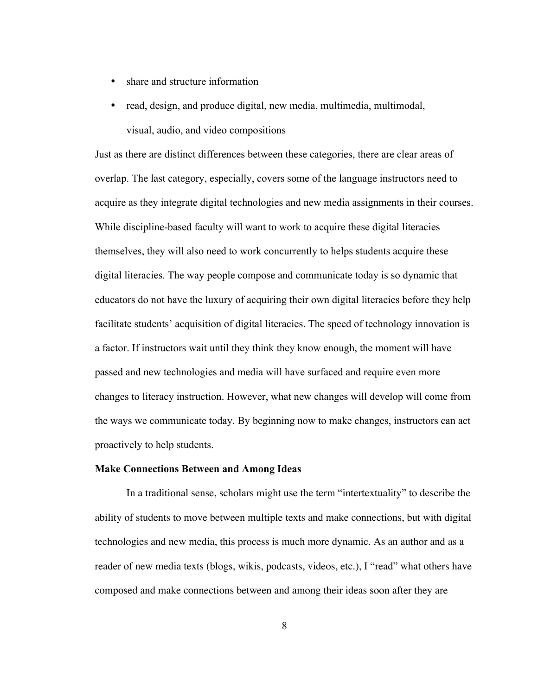- share and structure information
- read, design, and produce digital, new media, multimedia, multimodal, visual, audio, and video compositions

Just as there are distinct differences between these categories, there are clear areas of overlap. The last category, especially, covers some of the language instructors need to acquire as they integrate digital technologies and new media assignments in their courses. While discipline-based faculty will want to work to acquire these digital literacies themselves, they will also need to work concurrently to helps students acquire these digital literacies. The way people compose and communicate today is so dynamic that educators do not have the luxury of acquiring their own digital literacies before they help facilitate students' acquisition of digital literacies. The speed of technology innovation is a factor. If instructors wait until they think they know enough, the moment will have passed and new technologies and media will have surfaced and require even more changes to literacy instruction. However, what new changes will develop will come from the ways we communicate today. By beginning now to make changes, instructors can act proactively to help students.

#### Make Connections Between and Among Ideas

In a traditional sense, scholars might use the term "intertextuality" to describe the ability of students to move between multiple texts and make connections, but with digital technologies and new media, this process is much more dynamic. As an author and as a reader of new media texts (blogs, wikis, podcasts, videos, etc.), I "read" what others have composed and make connections between and among their ideas soon after they are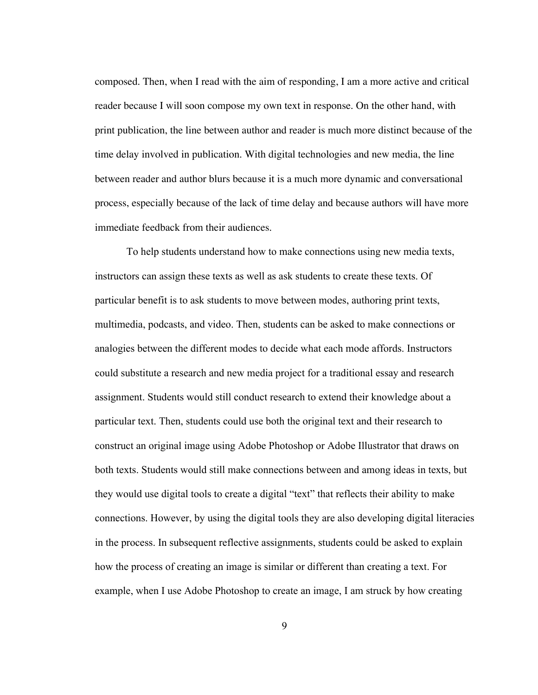composed. Then, when I read with the aim of responding, I am a more active and critical reader because I will soon compose my own text in response. On the other hand, with print publication, the line between author and reader is much more distinct because of the time delay involved in publication. With digital technologies and new media, the line between reader and author blurs because it is a much more dynamic and conversational process, especially because of the lack of time delay and because authors will have more immediate feedback from their audiences.

To help students understand how to make connections using new media texts, instructors can assign these texts as well as ask students to create these texts. Of particular benefit is to ask students to move between modes, authoring print texts, multimedia, podcasts, and video. Then, students can be asked to make connections or analogies between the different modes to decide what each mode affords. Instructors could substitute a research and new media project for a traditional essay and research assignment. Students would still conduct research to extend their knowledge about a particular text. Then, students could use both the original text and their research to construct an original image using Adobe Photoshop or Adobe Illustrator that draws on both texts. Students would still make connections between and among ideas in texts, but they would use digital tools to create a digital "text" that reflects their ability to make connections. However, by using the digital tools they are also developing digital literacies in the process. In subsequent reflective assignments, students could be asked to explain how the process of creating an image is similar or different than creating a text. For example, when I use Adobe Photoshop to create an image, I am struck by how creating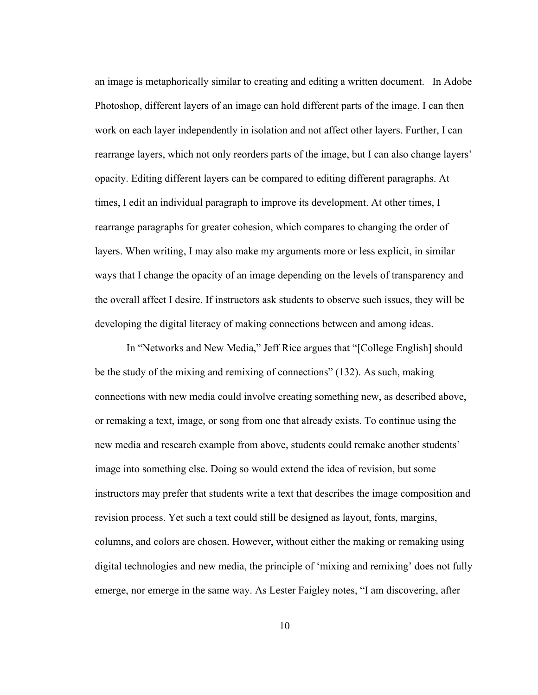an image is metaphorically similar to creating and editing a written document. In Adobe Photoshop, different layers of an image can hold different parts of the image. I can then work on each layer independently in isolation and not affect other layers. Further, I can rearrange layers, which not only reorders parts of the image, but I can also change layers' opacity. Editing different layers can be compared to editing different paragraphs. At times, I edit an individual paragraph to improve its development. At other times, I rearrange paragraphs for greater cohesion, which compares to changing the order of layers. When writing, I may also make my arguments more or less explicit, in similar ways that I change the opacity of an image depending on the levels of transparency and the overall affect I desire. If instructors ask students to observe such issues, they will be developing the digital literacy of making connections between and among ideas.

In "Networks and New Media," Jeff Rice argues that "[College English] should be the study of the mixing and remixing of connections" (132). As such, making connections with new media could involve creating something new, as described above, or remaking a text, image, or song from one that already exists. To continue using the new media and research example from above, students could remake another students' image into something else. Doing so would extend the idea of revision, but some instructors may prefer that students write a text that describes the image composition and revision process. Yet such a text could still be designed as layout, fonts, margins, columns, and colors are chosen. However, without either the making or remaking using digital technologies and new media, the principle of 'mixing and remixing' does not fully emerge, nor emerge in the same way. As Lester Faigley notes, "I am discovering, after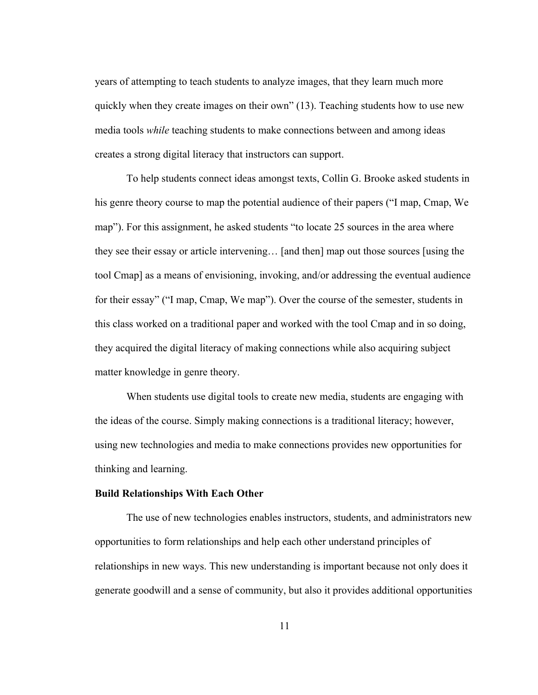years of attempting to teach students to analyze images, that they learn much more quickly when they create images on their own" (13). Teaching students how to use new media tools *while* teaching students to make connections between and among ideas creates a strong digital literacy that instructors can support.

To help students connect ideas amongst texts, Collin G. Brooke asked students in his genre theory course to map the potential audience of their papers ("I map, Cmap, We map"). For this assignment, he asked students "to locate 25 sources in the area where they see their essay or article intervening… [and then] map out those sources [using the tool Cmap] as a means of envisioning, invoking, and/or addressing the eventual audience for their essay" ("I map, Cmap, We map"). Over the course of the semester, students in this class worked on a traditional paper and worked with the tool Cmap and in so doing, they acquired the digital literacy of making connections while also acquiring subject matter knowledge in genre theory.

When students use digital tools to create new media, students are engaging with the ideas of the course. Simply making connections is a traditional literacy; however, using new technologies and media to make connections provides new opportunities for thinking and learning.

#### Build Relationships With Each Other

The use of new technologies enables instructors, students, and administrators new opportunities to form relationships and help each other understand principles of relationships in new ways. This new understanding is important because not only does it generate goodwill and a sense of community, but also it provides additional opportunities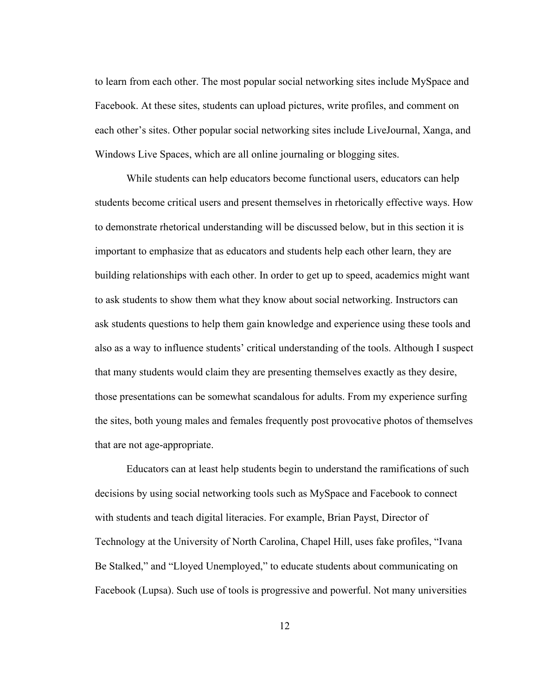to learn from each other. The most popular social networking sites include MySpace and Facebook. At these sites, students can upload pictures, write profiles, and comment on each other's sites. Other popular social networking sites include LiveJournal, Xanga, and Windows Live Spaces, which are all online journaling or blogging sites.

While students can help educators become functional users, educators can help students become critical users and present themselves in rhetorically effective ways. How to demonstrate rhetorical understanding will be discussed below, but in this section it is important to emphasize that as educators and students help each other learn, they are building relationships with each other. In order to get up to speed, academics might want to ask students to show them what they know about social networking. Instructors can ask students questions to help them gain knowledge and experience using these tools and also as a way to influence students' critical understanding of the tools. Although I suspect that many students would claim they are presenting themselves exactly as they desire, those presentations can be somewhat scandalous for adults. From my experience surfing the sites, both young males and females frequently post provocative photos of themselves that are not age-appropriate.

Educators can at least help students begin to understand the ramifications of such decisions by using social networking tools such as MySpace and Facebook to connect with students and teach digital literacies. For example, Brian Payst, Director of Technology at the University of North Carolina, Chapel Hill, uses fake profiles, "Ivana Be Stalked," and "Lloyed Unemployed," to educate students about communicating on Facebook (Lupsa). Such use of tools is progressive and powerful. Not many universities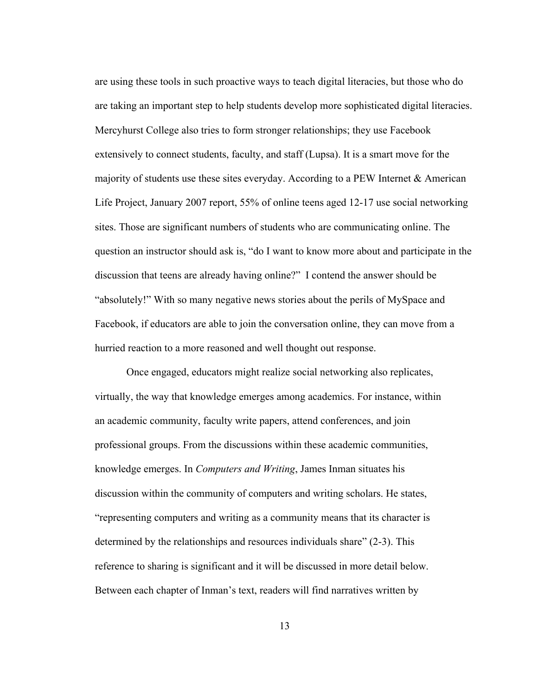are using these tools in such proactive ways to teach digital literacies, but those who do are taking an important step to help students develop more sophisticated digital literacies. Mercyhurst College also tries to form stronger relationships; they use Facebook extensively to connect students, faculty, and staff (Lupsa). It is a smart move for the majority of students use these sites everyday. According to a PEW Internet  $\&$  American Life Project, January 2007 report, 55% of online teens aged 12-17 use social networking sites. Those are significant numbers of students who are communicating online. The question an instructor should ask is, "do I want to know more about and participate in the discussion that teens are already having online?" I contend the answer should be "absolutely!" With so many negative news stories about the perils of MySpace and Facebook, if educators are able to join the conversation online, they can move from a hurried reaction to a more reasoned and well thought out response.

Once engaged, educators might realize social networking also replicates, virtually, the way that knowledge emerges among academics. For instance, within an academic community, faculty write papers, attend conferences, and join professional groups. From the discussions within these academic communities, knowledge emerges. In *Computers and Writing*, James Inman situates his discussion within the community of computers and writing scholars. He states, "representing computers and writing as a community means that its character is determined by the relationships and resources individuals share" (2-3). This reference to sharing is significant and it will be discussed in more detail below. Between each chapter of Inman's text, readers will find narratives written by

13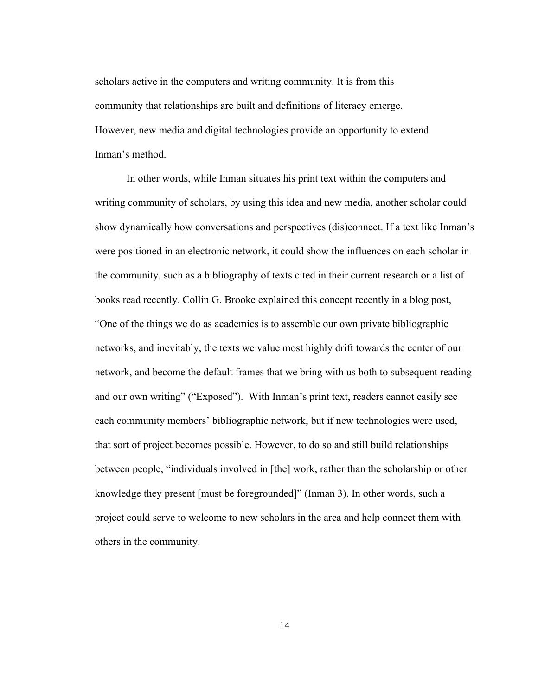scholars active in the computers and writing community. It is from this community that relationships are built and definitions of literacy emerge. However, new media and digital technologies provide an opportunity to extend Inman's method.

In other words, while Inman situates his print text within the computers and writing community of scholars, by using this idea and new media, another scholar could show dynamically how conversations and perspectives (dis)connect. If a text like Inman's were positioned in an electronic network, it could show the influences on each scholar in the community, such as a bibliography of texts cited in their current research or a list of books read recently. Collin G. Brooke explained this concept recently in a blog post, "One of the things we do as academics is to assemble our own private bibliographic networks, and inevitably, the texts we value most highly drift towards the center of our network, and become the default frames that we bring with us both to subsequent reading and our own writing" ("Exposed"). With Inman's print text, readers cannot easily see each community members' bibliographic network, but if new technologies were used, that sort of project becomes possible. However, to do so and still build relationships between people, "individuals involved in [the] work, rather than the scholarship or other knowledge they present [must be foregrounded]" (Inman 3). In other words, such a project could serve to welcome to new scholars in the area and help connect them with others in the community.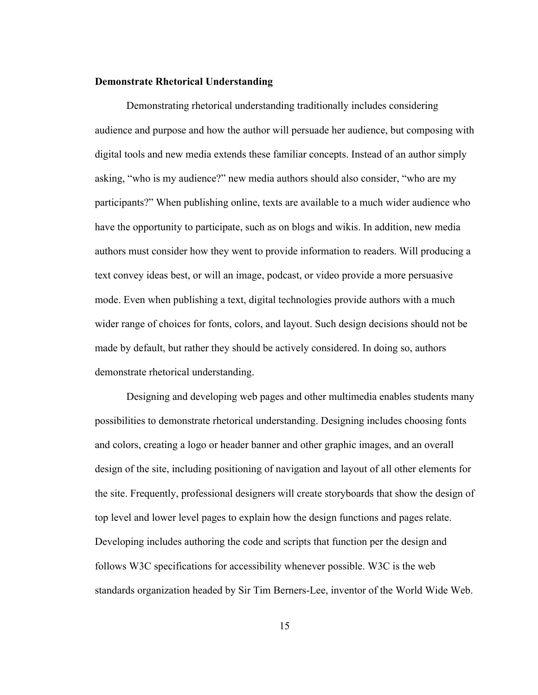#### Demonstrate Rhetorical Understanding

Demonstrating rhetorical understanding traditionally includes considering audience and purpose and how the author will persuade her audience, but composing with digital tools and new media extends these familiar concepts. Instead of an author simply asking, "who is my audience?" new media authors should also consider, "who are my participants?" When publishing online, texts are available to a much wider audience who have the opportunity to participate, such as on blogs and wikis. In addition, new media authors must consider how they went to provide information to readers. Will producing a text convey ideas best, or will an image, podcast, or video provide a more persuasive mode. Even when publishing a text, digital technologies provide authors with a much wider range of choices for fonts, colors, and layout. Such design decisions should not be made by default, but rather they should be actively considered. In doing so, authors demonstrate rhetorical understanding.

Designing and developing web pages and other multimedia enables students many possibilities to demonstrate rhetorical understanding. Designing includes choosing fonts and colors, creating a logo or header banner and other graphic images, and an overall design of the site, including positioning of navigation and layout of all other elements for the site. Frequently, professional designers will create storyboards that show the design of top level and lower level pages to explain how the design functions and pages relate. Developing includes authoring the code and scripts that function per the design and follows W3C specifications for accessibility whenever possible. W3C is the web standards organization headed by Sir Tim Berners-Lee, inventor of the World Wide Web.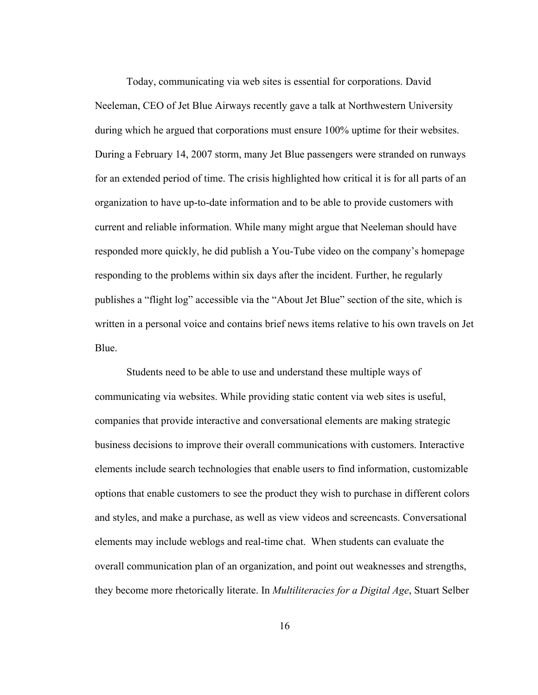Today, communicating via web sites is essential for corporations. David Neeleman, CEO of Jet Blue Airways recently gave a talk at Northwestern University during which he argued that corporations must ensure 100% uptime for their websites. During a February 14, 2007 storm, many Jet Blue passengers were stranded on runways for an extended period of time. The crisis highlighted how critical it is for all parts of an organization to have up-to-date information and to be able to provide customers with current and reliable information. While many might argue that Neeleman should have responded more quickly, he did publish a You-Tube video on the company's homepage responding to the problems within six days after the incident. Further, he regularly publishes a "flight log" accessible via the "About Jet Blue" section of the site, which is written in a personal voice and contains brief news items relative to his own travels on Jet Blue.

Students need to be able to use and understand these multiple ways of communicating via websites. While providing static content via web sites is useful, companies that provide interactive and conversational elements are making strategic business decisions to improve their overall communications with customers. Interactive elements include search technologies that enable users to find information, customizable options that enable customers to see the product they wish to purchase in different colors and styles, and make a purchase, as well as view videos and screencasts. Conversational elements may include weblogs and real-time chat. When students can evaluate the overall communication plan of an organization, and point out weaknesses and strengths, they become more rhetorically literate. In *Multiliteracies for a Digital Age*, Stuart Selber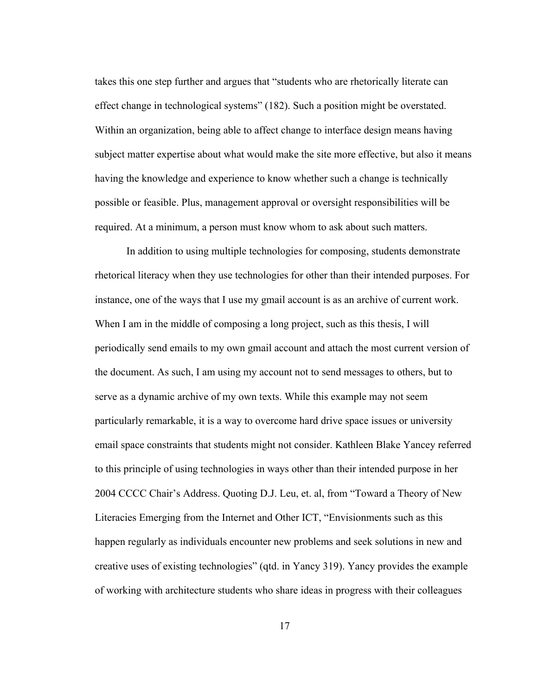takes this one step further and argues that "students who are rhetorically literate can effect change in technological systems" (182). Such a position might be overstated. Within an organization, being able to affect change to interface design means having subject matter expertise about what would make the site more effective, but also it means having the knowledge and experience to know whether such a change is technically possible or feasible. Plus, management approval or oversight responsibilities will be required. At a minimum, a person must know whom to ask about such matters.

In addition to using multiple technologies for composing, students demonstrate rhetorical literacy when they use technologies for other than their intended purposes. For instance, one of the ways that I use my gmail account is as an archive of current work. When I am in the middle of composing a long project, such as this thesis, I will periodically send emails to my own gmail account and attach the most current version of the document. As such, I am using my account not to send messages to others, but to serve as a dynamic archive of my own texts. While this example may not seem particularly remarkable, it is a way to overcome hard drive space issues or university email space constraints that students might not consider. Kathleen Blake Yancey referred to this principle of using technologies in ways other than their intended purpose in her 2004 CCCC Chair's Address. Quoting D.J. Leu, et. al, from "Toward a Theory of New Literacies Emerging from the Internet and Other ICT, "Envisionments such as this happen regularly as individuals encounter new problems and seek solutions in new and creative uses of existing technologies" (qtd. in Yancy 319). Yancy provides the example of working with architecture students who share ideas in progress with their colleagues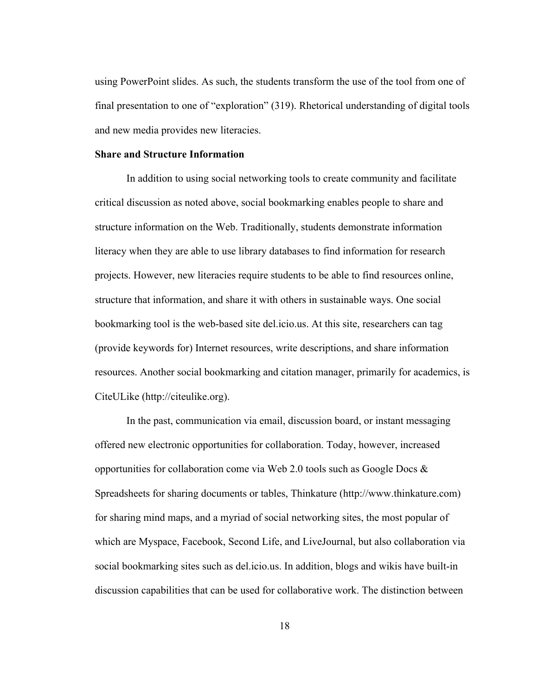using PowerPoint slides. As such, the students transform the use of the tool from one of final presentation to one of "exploration" (319). Rhetorical understanding of digital tools and new media provides new literacies.

#### Share and Structure Information

In addition to using social networking tools to create community and facilitate critical discussion as noted above, social bookmarking enables people to share and structure information on the Web. Traditionally, students demonstrate information literacy when they are able to use library databases to find information for research projects. However, new literacies require students to be able to find resources online, structure that information, and share it with others in sustainable ways. One social bookmarking tool is the web-based site del.icio.us. At this site, researchers can tag (provide keywords for) Internet resources, write descriptions, and share information resources. Another social bookmarking and citation manager, primarily for academics, is CiteULike (http://citeulike.org).

In the past, communication via email, discussion board, or instant messaging offered new electronic opportunities for collaboration. Today, however, increased opportunities for collaboration come via Web 2.0 tools such as Google Docs  $\&$ Spreadsheets for sharing documents or tables, Thinkature (http://www.thinkature.com) for sharing mind maps, and a myriad of social networking sites, the most popular of which are Myspace, Facebook, Second Life, and LiveJournal, but also collaboration via social bookmarking sites such as del.icio.us. In addition, blogs and wikis have built-in discussion capabilities that can be used for collaborative work. The distinction between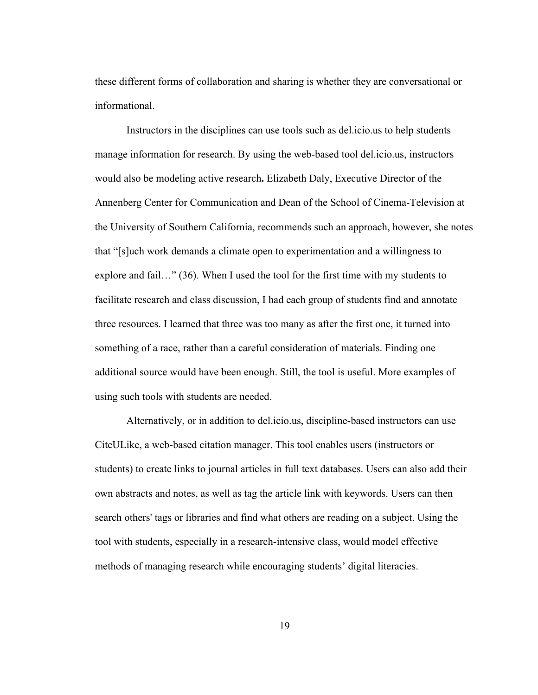these different forms of collaboration and sharing is whether they are conversational or informational.

Instructors in the disciplines can use tools such as del.icio.us to help students manage information for research. By using the web-based tool del.icio.us, instructors would also be modeling active research. Elizabeth Daly, Executive Director of the Annenberg Center for Communication and Dean of the School of Cinema-Television at the University of Southern California, recommends such an approach, however, she notes that "[s]uch work demands a climate open to experimentation and a willingness to explore and fail…" (36). When I used the tool for the first time with my students to facilitate research and class discussion, I had each group of students find and annotate three resources. I learned that three was too many as after the first one, it turned into something of a race, rather than a careful consideration of materials. Finding one additional source would have been enough. Still, the tool is useful. More examples of using such tools with students are needed.

Alternatively, or in addition to del.icio.us, discipline-based instructors can use CiteULike, a web-based citation manager. This tool enables users (instructors or students) to create links to journal articles in full text databases. Users can also add their own abstracts and notes, as well as tag the article link with keywords. Users can then search others' tags or libraries and find what others are reading on a subject. Using the tool with students, especially in a research-intensive class, would model effective methods of managing research while encouraging students' digital literacies.

19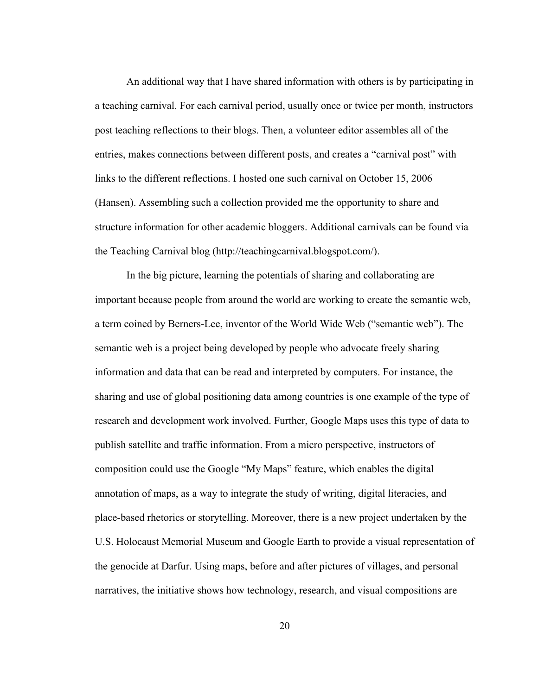An additional way that I have shared information with others is by participating in a teaching carnival. For each carnival period, usually once or twice per month, instructors post teaching reflections to their blogs. Then, a volunteer editor assembles all of the entries, makes connections between different posts, and creates a "carnival post" with links to the different reflections. I hosted one such carnival on October 15, 2006 (Hansen). Assembling such a collection provided me the opportunity to share and structure information for other academic bloggers. Additional carnivals can be found via the Teaching Carnival blog (http://teachingcarnival.blogspot.com/).

In the big picture, learning the potentials of sharing and collaborating are important because people from around the world are working to create the semantic web, a term coined by Berners-Lee, inventor of the World Wide Web ("semantic web"). The semantic web is a project being developed by people who advocate freely sharing information and data that can be read and interpreted by computers. For instance, the sharing and use of global positioning data among countries is one example of the type of research and development work involved. Further, Google Maps uses this type of data to publish satellite and traffic information. From a micro perspective, instructors of composition could use the Google "My Maps" feature, which enables the digital annotation of maps, as a way to integrate the study of writing, digital literacies, and place-based rhetorics or storytelling. Moreover, there is a new project undertaken by the U.S. Holocaust Memorial Museum and Google Earth to provide a visual representation of the genocide at Darfur. Using maps, before and after pictures of villages, and personal narratives, the initiative shows how technology, research, and visual compositions are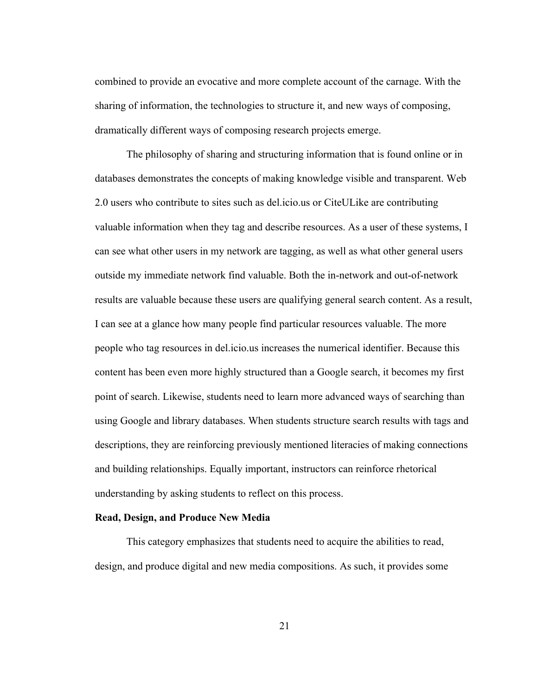combined to provide an evocative and more complete account of the carnage. With the sharing of information, the technologies to structure it, and new ways of composing, dramatically different ways of composing research projects emerge.

The philosophy of sharing and structuring information that is found online or in databases demonstrates the concepts of making knowledge visible and transparent. Web 2.0 users who contribute to sites such as del.icio.us or CiteULike are contributing valuable information when they tag and describe resources. As a user of these systems, I can see what other users in my network are tagging, as well as what other general users outside my immediate network find valuable. Both the in-network and out-of-network results are valuable because these users are qualifying general search content. As a result, I can see at a glance how many people find particular resources valuable. The more people who tag resources in del.icio.us increases the numerical identifier. Because this content has been even more highly structured than a Google search, it becomes my first point of search. Likewise, students need to learn more advanced ways of searching than using Google and library databases. When students structure search results with tags and descriptions, they are reinforcing previously mentioned literacies of making connections and building relationships. Equally important, instructors can reinforce rhetorical understanding by asking students to reflect on this process.

### Read, Design, and Produce New Media

This category emphasizes that students need to acquire the abilities to read, design, and produce digital and new media compositions. As such, it provides some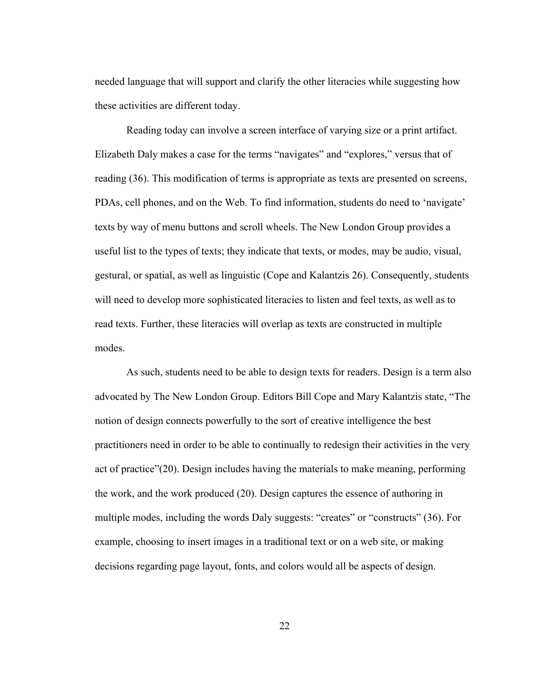needed language that will support and clarify the other literacies while suggesting how these activities are different today.

Reading today can involve a screen interface of varying size or a print artifact. Elizabeth Daly makes a case for the terms "navigates" and "explores," versus that of reading (36). This modification of terms is appropriate as texts are presented on screens, PDAs, cell phones, and on the Web. To find information, students do need to 'navigate' texts by way of menu buttons and scroll wheels. The New London Group provides a useful list to the types of texts; they indicate that texts, or modes, may be audio, visual, gestural, or spatial, as well as linguistic (Cope and Kalantzis 26). Consequently, students will need to develop more sophisticated literacies to listen and feel texts, as well as to read texts. Further, these literacies will overlap as texts are constructed in multiple modes.

As such, students need to be able to design texts for readers. Design is a term also advocated by The New London Group. Editors Bill Cope and Mary Kalantzis state, "The notion of design connects powerfully to the sort of creative intelligence the best practitioners need in order to be able to continually to redesign their activities in the very act of practice"(20). Design includes having the materials to make meaning, performing the work, and the work produced (20). Design captures the essence of authoring in multiple modes, including the words Daly suggests: "creates" or "constructs" (36). For example, choosing to insert images in a traditional text or on a web site, or making decisions regarding page layout, fonts, and colors would all be aspects of design.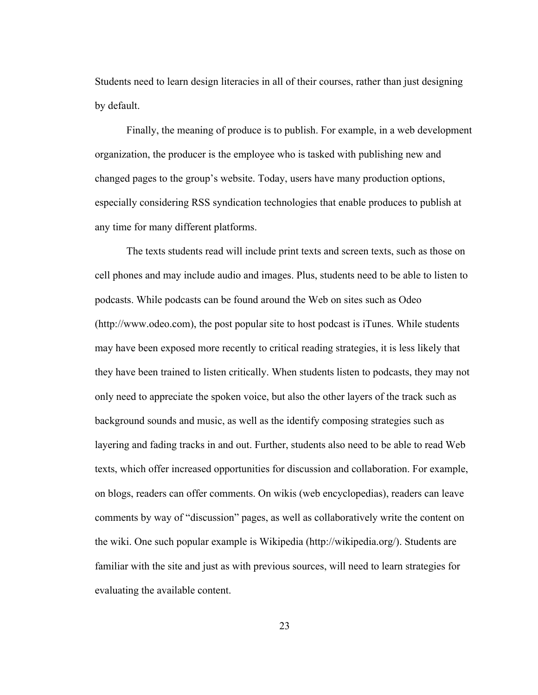Students need to learn design literacies in all of their courses, rather than just designing by default.

Finally, the meaning of produce is to publish. For example, in a web development organization, the producer is the employee who is tasked with publishing new and changed pages to the group's website. Today, users have many production options, especially considering RSS syndication technologies that enable produces to publish at any time for many different platforms.

The texts students read will include print texts and screen texts, such as those on cell phones and may include audio and images. Plus, students need to be able to listen to podcasts. While podcasts can be found around the Web on sites such as Odeo (http://www.odeo.com), the post popular site to host podcast is iTunes. While students may have been exposed more recently to critical reading strategies, it is less likely that they have been trained to listen critically. When students listen to podcasts, they may not only need to appreciate the spoken voice, but also the other layers of the track such as background sounds and music, as well as the identify composing strategies such as layering and fading tracks in and out. Further, students also need to be able to read Web texts, which offer increased opportunities for discussion and collaboration. For example, on blogs, readers can offer comments. On wikis (web encyclopedias), readers can leave comments by way of "discussion" pages, as well as collaboratively write the content on the wiki. One such popular example is Wikipedia (http://wikipedia.org/). Students are familiar with the site and just as with previous sources, will need to learn strategies for evaluating the available content.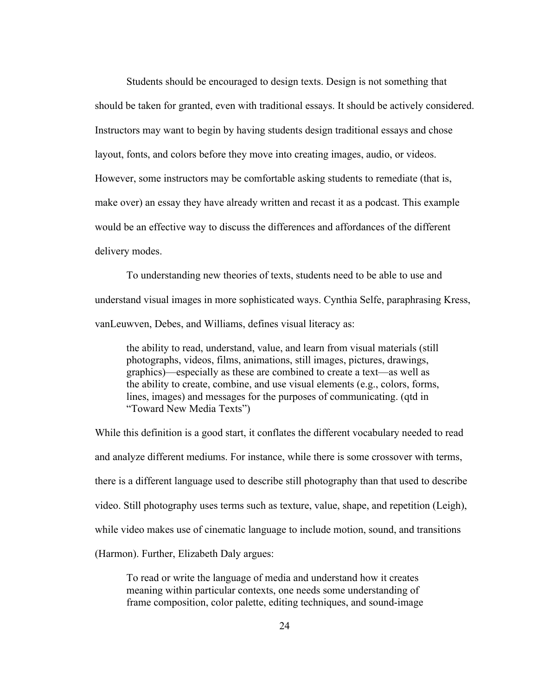Students should be encouraged to design texts. Design is not something that should be taken for granted, even with traditional essays. It should be actively considered. Instructors may want to begin by having students design traditional essays and chose layout, fonts, and colors before they move into creating images, audio, or videos. However, some instructors may be comfortable asking students to remediate (that is, make over) an essay they have already written and recast it as a podcast. This example would be an effective way to discuss the differences and affordances of the different delivery modes.

To understanding new theories of texts, students need to be able to use and understand visual images in more sophisticated ways. Cynthia Selfe, paraphrasing Kress, vanLeuwven, Debes, and Williams, defines visual literacy as:

the ability to read, understand, value, and learn from visual materials (still photographs, videos, films, animations, still images, pictures, drawings, graphics)—especially as these are combined to create a text—as well as the ability to create, combine, and use visual elements (e.g., colors, forms, lines, images) and messages for the purposes of communicating. (qtd in "Toward New Media Texts")

While this definition is a good start, it conflates the different vocabulary needed to read and analyze different mediums. For instance, while there is some crossover with terms, there is a different language used to describe still photography than that used to describe video. Still photography uses terms such as texture, value, shape, and repetition (Leigh), while video makes use of cinematic language to include motion, sound, and transitions (Harmon). Further, Elizabeth Daly argues:

To read or write the language of media and understand how it creates meaning within particular contexts, one needs some understanding of frame composition, color palette, editing techniques, and sound-image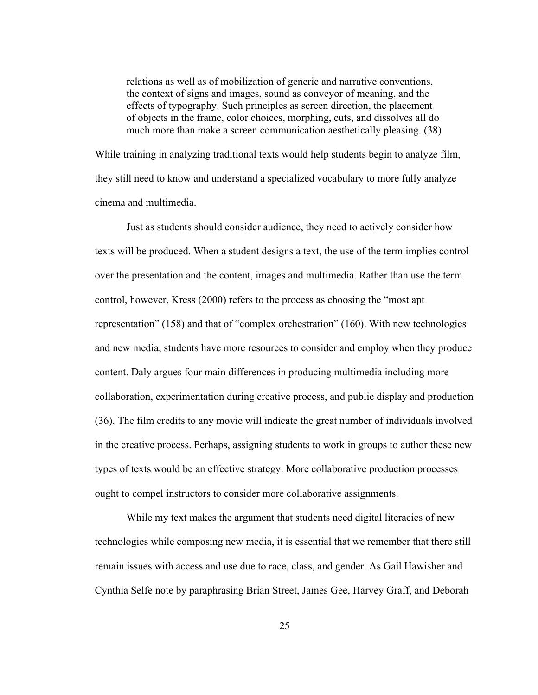relations as well as of mobilization of generic and narrative conventions, the context of signs and images, sound as conveyor of meaning, and the effects of typography. Such principles as screen direction, the placement of objects in the frame, color choices, morphing, cuts, and dissolves all do much more than make a screen communication aesthetically pleasing. (38)

While training in analyzing traditional texts would help students begin to analyze film, they still need to know and understand a specialized vocabulary to more fully analyze cinema and multimedia.

Just as students should consider audience, they need to actively consider how texts will be produced. When a student designs a text, the use of the term implies control over the presentation and the content, images and multimedia. Rather than use the term control, however, Kress (2000) refers to the process as choosing the "most apt representation" (158) and that of "complex orchestration" (160). With new technologies and new media, students have more resources to consider and employ when they produce content. Daly argues four main differences in producing multimedia including more collaboration, experimentation during creative process, and public display and production (36). The film credits to any movie will indicate the great number of individuals involved in the creative process. Perhaps, assigning students to work in groups to author these new types of texts would be an effective strategy. More collaborative production processes ought to compel instructors to consider more collaborative assignments.

While my text makes the argument that students need digital literacies of new technologies while composing new media, it is essential that we remember that there still remain issues with access and use due to race, class, and gender. As Gail Hawisher and Cynthia Selfe note by paraphrasing Brian Street, James Gee, Harvey Graff, and Deborah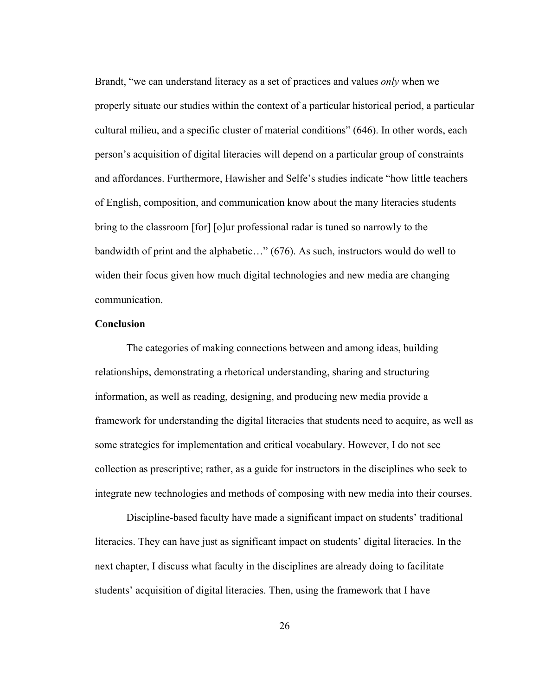Brandt, "we can understand literacy as a set of practices and values *only* when we properly situate our studies within the context of a particular historical period, a particular cultural milieu, and a specific cluster of material conditions" (646). In other words, each person's acquisition of digital literacies will depend on a particular group of constraints and affordances. Furthermore, Hawisher and Selfe's studies indicate "how little teachers of English, composition, and communication know about the many literacies students bring to the classroom [for] [o]ur professional radar is tuned so narrowly to the bandwidth of print and the alphabetic…" (676). As such, instructors would do well to widen their focus given how much digital technologies and new media are changing communication.

#### **Conclusion**

The categories of making connections between and among ideas, building relationships, demonstrating a rhetorical understanding, sharing and structuring information, as well as reading, designing, and producing new media provide a framework for understanding the digital literacies that students need to acquire, as well as some strategies for implementation and critical vocabulary. However, I do not see collection as prescriptive; rather, as a guide for instructors in the disciplines who seek to integrate new technologies and methods of composing with new media into their courses.

Discipline-based faculty have made a significant impact on students' traditional literacies. They can have just as significant impact on students' digital literacies. In the next chapter, I discuss what faculty in the disciplines are already doing to facilitate students' acquisition of digital literacies. Then, using the framework that I have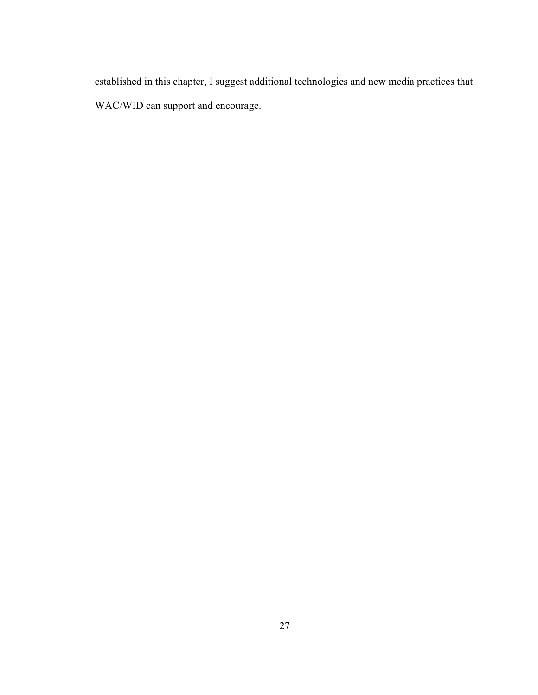established in this chapter, I suggest additional technologies and new media practices that WAC/WID can support and encourage.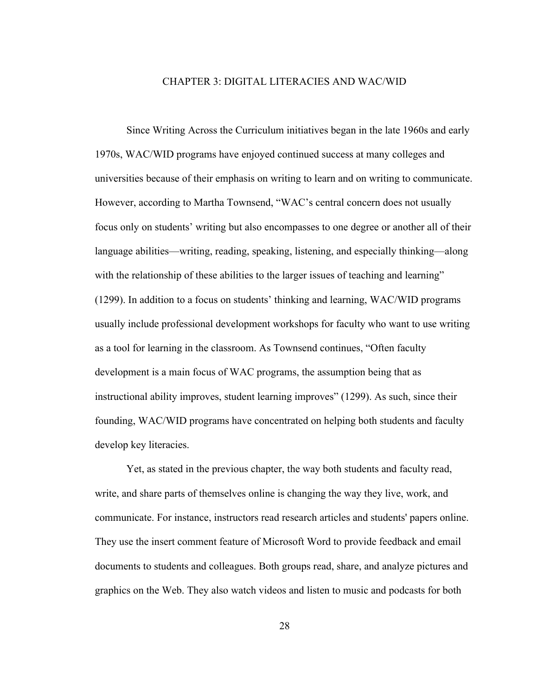#### CHAPTER 3: DIGITAL LITERACIES AND WAC/WID

Since Writing Across the Curriculum initiatives began in the late 1960s and early 1970s, WAC/WID programs have enjoyed continued success at many colleges and universities because of their emphasis on writing to learn and on writing to communicate. However, according to Martha Townsend, "WAC's central concern does not usually focus only on students' writing but also encompasses to one degree or another all of their language abilities—writing, reading, speaking, listening, and especially thinking—along with the relationship of these abilities to the larger issues of teaching and learning" (1299). In addition to a focus on students' thinking and learning, WAC/WID programs usually include professional development workshops for faculty who want to use writing as a tool for learning in the classroom. As Townsend continues, "Often faculty development is a main focus of WAC programs, the assumption being that as instructional ability improves, student learning improves" (1299). As such, since their founding, WAC/WID programs have concentrated on helping both students and faculty develop key literacies.

Yet, as stated in the previous chapter, the way both students and faculty read, write, and share parts of themselves online is changing the way they live, work, and communicate. For instance, instructors read research articles and students' papers online. They use the insert comment feature of Microsoft Word to provide feedback and email documents to students and colleagues. Both groups read, share, and analyze pictures and graphics on the Web. They also watch videos and listen to music and podcasts for both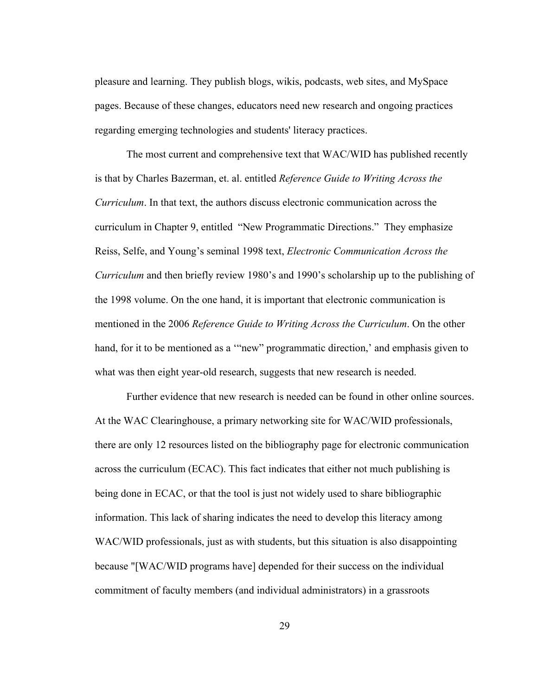pleasure and learning. They publish blogs, wikis, podcasts, web sites, and MySpace pages. Because of these changes, educators need new research and ongoing practices regarding emerging technologies and students' literacy practices.

The most current and comprehensive text that WAC/WID has published recently is that by Charles Bazerman, et. al. entitled *Reference Guide to Writing Across the Curriculum*. In that text, the authors discuss electronic communication across the curriculum in Chapter 9, entitled "New Programmatic Directions." They emphasize Reiss, Selfe, and Young's seminal 1998 text, *Electronic Communication Across the Curriculum* and then briefly review 1980's and 1990's scholarship up to the publishing of the 1998 volume. On the one hand, it is important that electronic communication is mentioned in the 2006 *Reference Guide to Writing Across the Curriculum*. On the other hand, for it to be mentioned as a "new" programmatic direction,' and emphasis given to what was then eight year-old research, suggests that new research is needed.

Further evidence that new research is needed can be found in other online sources. At the WAC Clearinghouse, a primary networking site for WAC/WID professionals, there are only 12 resources listed on the bibliography page for electronic communication across the curriculum (ECAC). This fact indicates that either not much publishing is being done in ECAC, or that the tool is just not widely used to share bibliographic information. This lack of sharing indicates the need to develop this literacy among WAC/WID professionals, just as with students, but this situation is also disappointing because "[WAC/WID programs have] depended for their success on the individual commitment of faculty members (and individual administrators) in a grassroots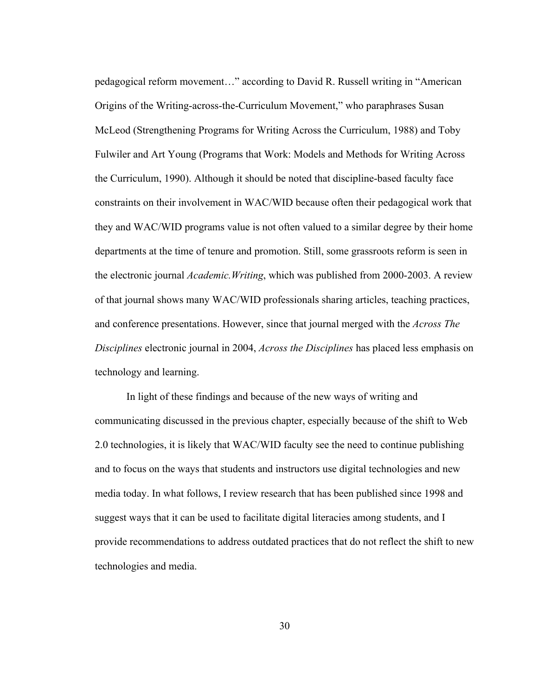pedagogical reform movement…" according to David R. Russell writing in "American Origins of the Writing-across-the-Curriculum Movement," who paraphrases Susan McLeod (Strengthening Programs for Writing Across the Curriculum, 1988) and Toby Fulwiler and Art Young (Programs that Work: Models and Methods for Writing Across the Curriculum, 1990). Although it should be noted that discipline-based faculty face constraints on their involvement in WAC/WID because often their pedagogical work that they and WAC/WID programs value is not often valued to a similar degree by their home departments at the time of tenure and promotion. Still, some grassroots reform is seen in the electronic journal *Academic.Writing*, which was published from 2000-2003. A review of that journal shows many WAC/WID professionals sharing articles, teaching practices, and conference presentations. However, since that journal merged with the *Across The Disciplines* electronic journal in 2004, *Across the Disciplines* has placed less emphasis on technology and learning.

In light of these findings and because of the new ways of writing and communicating discussed in the previous chapter, especially because of the shift to Web 2.0 technologies, it is likely that WAC/WID faculty see the need to continue publishing and to focus on the ways that students and instructors use digital technologies and new media today. In what follows, I review research that has been published since 1998 and suggest ways that it can be used to facilitate digital literacies among students, and I provide recommendations to address outdated practices that do not reflect the shift to new technologies and media.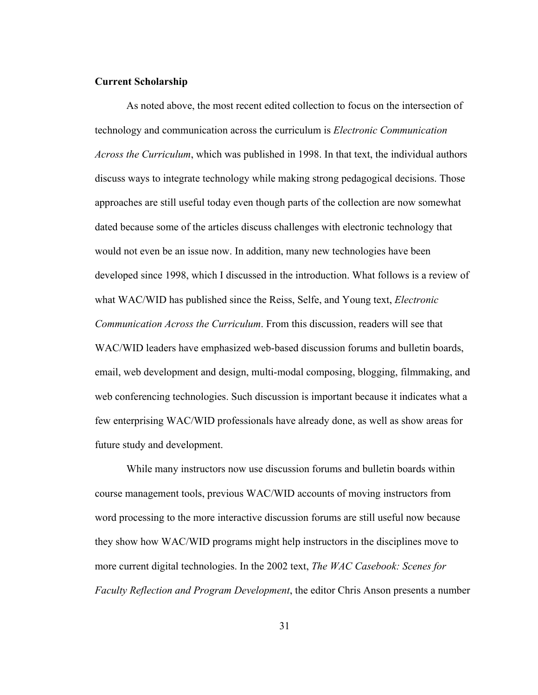# Current Scholarship

As noted above, the most recent edited collection to focus on the intersection of technology and communication across the curriculum is *Electronic Communication Across the Curriculum*, which was published in 1998. In that text, the individual authors discuss ways to integrate technology while making strong pedagogical decisions. Those approaches are still useful today even though parts of the collection are now somewhat dated because some of the articles discuss challenges with electronic technology that would not even be an issue now. In addition, many new technologies have been developed since 1998, which I discussed in the introduction. What follows is a review of what WAC/WID has published since the Reiss, Selfe, and Young text, *Electronic Communication Across the Curriculum*. From this discussion, readers will see that WAC/WID leaders have emphasized web-based discussion forums and bulletin boards, email, web development and design, multi-modal composing, blogging, filmmaking, and web conferencing technologies. Such discussion is important because it indicates what a few enterprising WAC/WID professionals have already done, as well as show areas for future study and development.

While many instructors now use discussion forums and bulletin boards within course management tools, previous WAC/WID accounts of moving instructors from word processing to the more interactive discussion forums are still useful now because they show how WAC/WID programs might help instructors in the disciplines move to more current digital technologies. In the 2002 text, *The WAC Casebook: Scenes for Faculty Reflection and Program Development*, the editor Chris Anson presents a number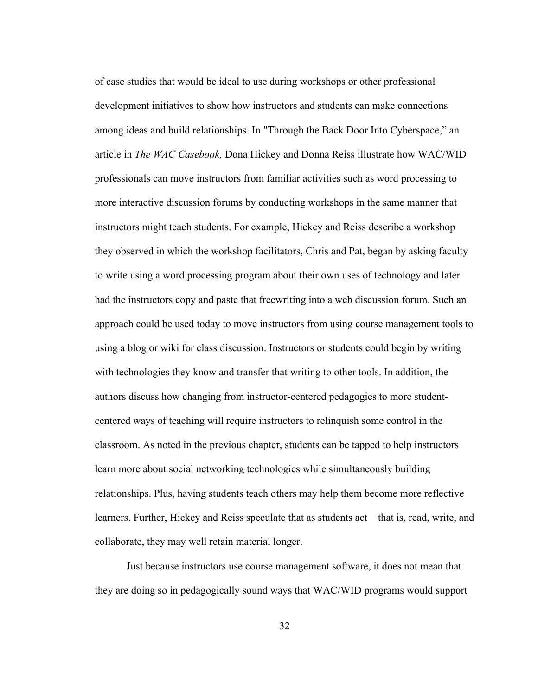of case studies that would be ideal to use during workshops or other professional development initiatives to show how instructors and students can make connections among ideas and build relationships. In "Through the Back Door Into Cyberspace," an article in *The WAC Casebook,* Dona Hickey and Donna Reiss illustrate how WAC/WID professionals can move instructors from familiar activities such as word processing to more interactive discussion forums by conducting workshops in the same manner that instructors might teach students. For example, Hickey and Reiss describe a workshop they observed in which the workshop facilitators, Chris and Pat, began by asking faculty to write using a word processing program about their own uses of technology and later had the instructors copy and paste that freewriting into a web discussion forum. Such an approach could be used today to move instructors from using course management tools to using a blog or wiki for class discussion. Instructors or students could begin by writing with technologies they know and transfer that writing to other tools. In addition, the authors discuss how changing from instructor-centered pedagogies to more studentcentered ways of teaching will require instructors to relinquish some control in the classroom. As noted in the previous chapter, students can be tapped to help instructors learn more about social networking technologies while simultaneously building relationships. Plus, having students teach others may help them become more reflective learners. Further, Hickey and Reiss speculate that as students act—that is, read, write, and collaborate, they may well retain material longer.

Just because instructors use course management software, it does not mean that they are doing so in pedagogically sound ways that WAC/WID programs would support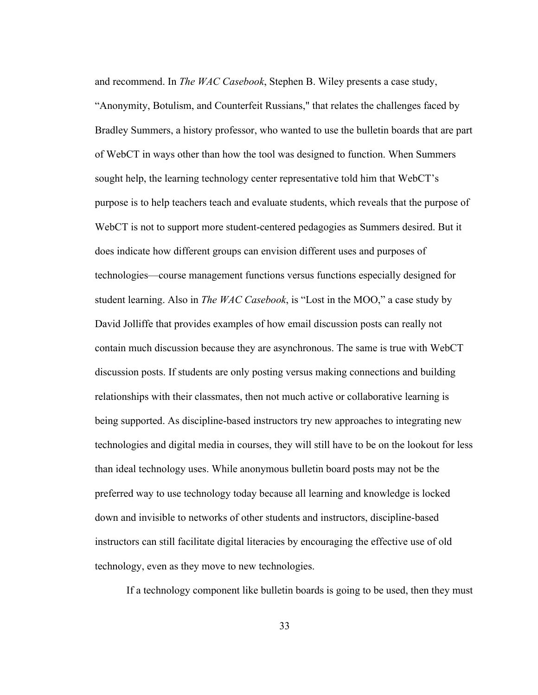and recommend. In *The WAC Casebook*, Stephen B. Wiley presents a case study, "Anonymity, Botulism, and Counterfeit Russians," that relates the challenges faced by Bradley Summers, a history professor, who wanted to use the bulletin boards that are part of WebCT in ways other than how the tool was designed to function. When Summers sought help, the learning technology center representative told him that WebCT's purpose is to help teachers teach and evaluate students, which reveals that the purpose of WebCT is not to support more student-centered pedagogies as Summers desired. But it does indicate how different groups can envision different uses and purposes of technologies—course management functions versus functions especially designed for student learning. Also in *The WAC Casebook*, is "Lost in the MOO," a case study by David Jolliffe that provides examples of how email discussion posts can really not contain much discussion because they are asynchronous. The same is true with WebCT discussion posts. If students are only posting versus making connections and building relationships with their classmates, then not much active or collaborative learning is being supported. As discipline-based instructors try new approaches to integrating new technologies and digital media in courses, they will still have to be on the lookout for less than ideal technology uses. While anonymous bulletin board posts may not be the preferred way to use technology today because all learning and knowledge is locked down and invisible to networks of other students and instructors, discipline-based instructors can still facilitate digital literacies by encouraging the effective use of old technology, even as they move to new technologies.

If a technology component like bulletin boards is going to be used, then they must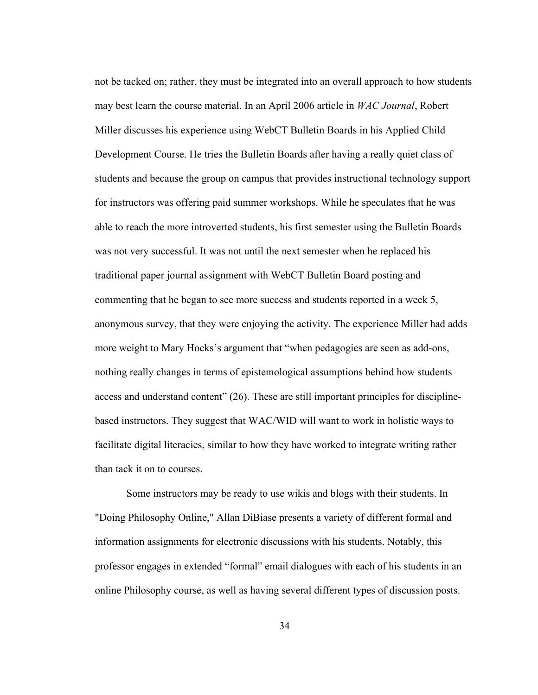not be tacked on; rather, they must be integrated into an overall approach to how students may best learn the course material. In an April 2006 article in *WAC Journal*, Robert Miller discusses his experience using WebCT Bulletin Boards in his Applied Child Development Course. He tries the Bulletin Boards after having a really quiet class of students and because the group on campus that provides instructional technology support for instructors was offering paid summer workshops. While he speculates that he was able to reach the more introverted students, his first semester using the Bulletin Boards was not very successful. It was not until the next semester when he replaced his traditional paper journal assignment with WebCT Bulletin Board posting and commenting that he began to see more success and students reported in a week 5, anonymous survey, that they were enjoying the activity. The experience Miller had adds more weight to Mary Hocks's argument that "when pedagogies are seen as add-ons, nothing really changes in terms of epistemological assumptions behind how students access and understand content" (26). These are still important principles for disciplinebased instructors. They suggest that WAC/WID will want to work in holistic ways to facilitate digital literacies, similar to how they have worked to integrate writing rather than tack it on to courses.

Some instructors may be ready to use wikis and blogs with their students. In "Doing Philosophy Online," Allan DiBiase presents a variety of different formal and information assignments for electronic discussions with his students. Notably, this professor engages in extended "formal" email dialogues with each of his students in an online Philosophy course, as well as having several different types of discussion posts.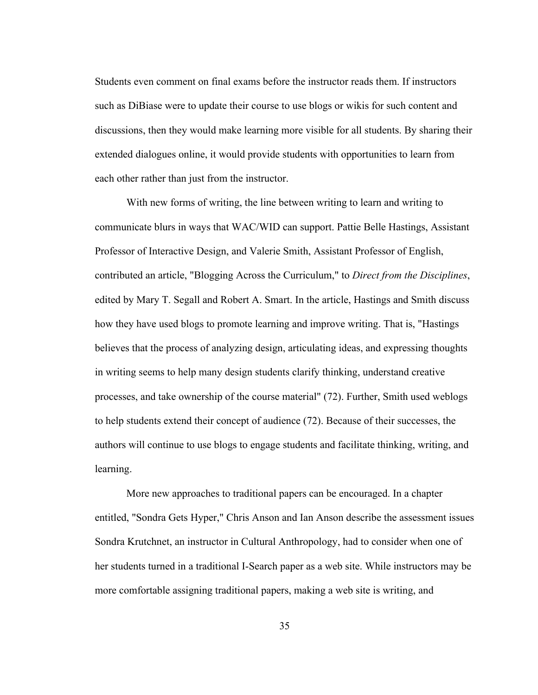Students even comment on final exams before the instructor reads them. If instructors such as DiBiase were to update their course to use blogs or wikis for such content and discussions, then they would make learning more visible for all students. By sharing their extended dialogues online, it would provide students with opportunities to learn from each other rather than just from the instructor.

With new forms of writing, the line between writing to learn and writing to communicate blurs in ways that WAC/WID can support. Pattie Belle Hastings, Assistant Professor of Interactive Design, and Valerie Smith, Assistant Professor of English, contributed an article, "Blogging Across the Curriculum," to *Direct from the Disciplines*, edited by Mary T. Segall and Robert A. Smart. In the article, Hastings and Smith discuss how they have used blogs to promote learning and improve writing. That is, "Hastings believes that the process of analyzing design, articulating ideas, and expressing thoughts in writing seems to help many design students clarify thinking, understand creative processes, and take ownership of the course material" (72). Further, Smith used weblogs to help students extend their concept of audience (72). Because of their successes, the authors will continue to use blogs to engage students and facilitate thinking, writing, and learning.

More new approaches to traditional papers can be encouraged. In a chapter entitled, "Sondra Gets Hyper," Chris Anson and Ian Anson describe the assessment issues Sondra Krutchnet, an instructor in Cultural Anthropology, had to consider when one of her students turned in a traditional I-Search paper as a web site. While instructors may be more comfortable assigning traditional papers, making a web site is writing, and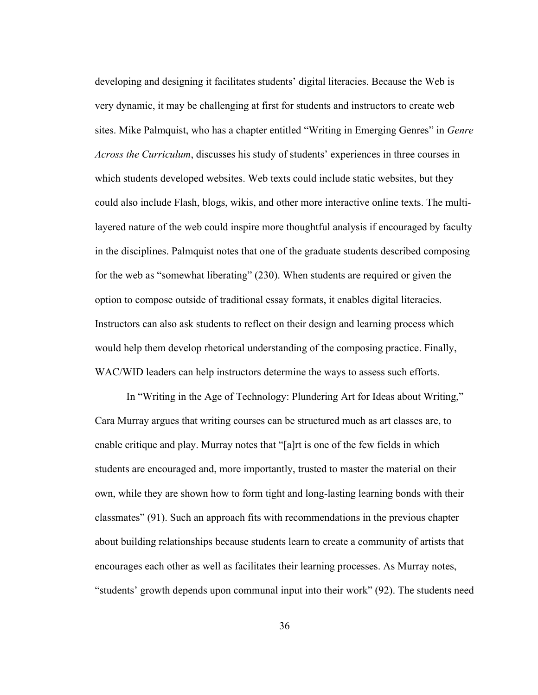developing and designing it facilitates students' digital literacies. Because the Web is very dynamic, it may be challenging at first for students and instructors to create web sites. Mike Palmquist, who has a chapter entitled "Writing in Emerging Genres" in *Genre Across the Curriculum*, discusses his study of students' experiences in three courses in which students developed websites. Web texts could include static websites, but they could also include Flash, blogs, wikis, and other more interactive online texts. The multilayered nature of the web could inspire more thoughtful analysis if encouraged by faculty in the disciplines. Palmquist notes that one of the graduate students described composing for the web as "somewhat liberating" (230). When students are required or given the option to compose outside of traditional essay formats, it enables digital literacies. Instructors can also ask students to reflect on their design and learning process which would help them develop rhetorical understanding of the composing practice. Finally, WAC/WID leaders can help instructors determine the ways to assess such efforts.

In "Writing in the Age of Technology: Plundering Art for Ideas about Writing," Cara Murray argues that writing courses can be structured much as art classes are, to enable critique and play. Murray notes that "[a]rt is one of the few fields in which students are encouraged and, more importantly, trusted to master the material on their own, while they are shown how to form tight and long-lasting learning bonds with their classmates" (91). Such an approach fits with recommendations in the previous chapter about building relationships because students learn to create a community of artists that encourages each other as well as facilitates their learning processes. As Murray notes, "students' growth depends upon communal input into their work" (92). The students need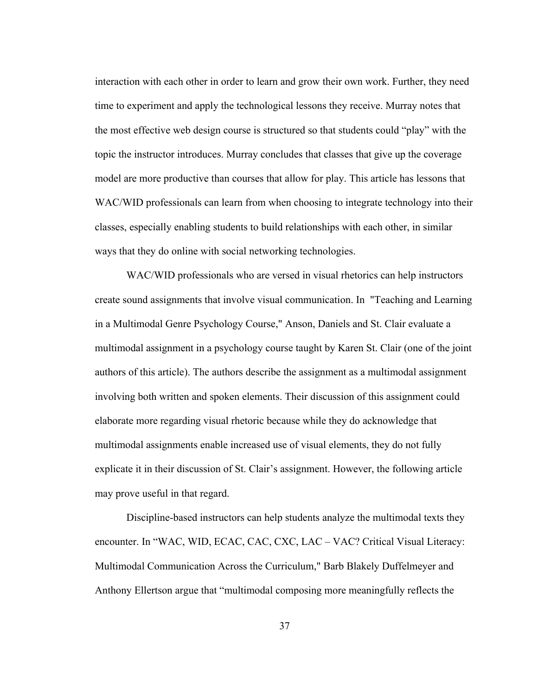interaction with each other in order to learn and grow their own work. Further, they need time to experiment and apply the technological lessons they receive. Murray notes that the most effective web design course is structured so that students could "play" with the topic the instructor introduces. Murray concludes that classes that give up the coverage model are more productive than courses that allow for play. This article has lessons that WAC/WID professionals can learn from when choosing to integrate technology into their classes, especially enabling students to build relationships with each other, in similar ways that they do online with social networking technologies.

WAC/WID professionals who are versed in visual rhetorics can help instructors create sound assignments that involve visual communication. In "Teaching and Learning in a Multimodal Genre Psychology Course," Anson, Daniels and St. Clair evaluate a multimodal assignment in a psychology course taught by Karen St. Clair (one of the joint authors of this article). The authors describe the assignment as a multimodal assignment involving both written and spoken elements. Their discussion of this assignment could elaborate more regarding visual rhetoric because while they do acknowledge that multimodal assignments enable increased use of visual elements, they do not fully explicate it in their discussion of St. Clair's assignment. However, the following article may prove useful in that regard.

Discipline-based instructors can help students analyze the multimodal texts they encounter. In "WAC, WID, ECAC, CAC, CXC, LAC – VAC? Critical Visual Literacy: Multimodal Communication Across the Curriculum," Barb Blakely Duffelmeyer and Anthony Ellertson argue that "multimodal composing more meaningfully reflects the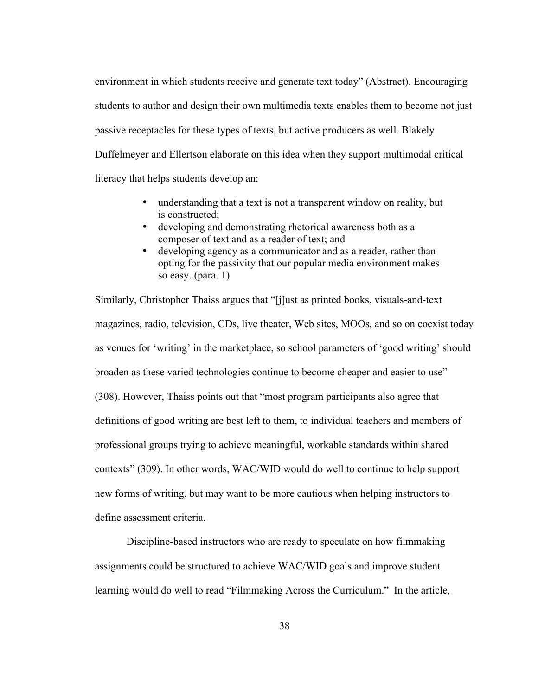environment in which students receive and generate text today" (Abstract). Encouraging students to author and design their own multimedia texts enables them to become not just passive receptacles for these types of texts, but active producers as well. Blakely Duffelmeyer and Ellertson elaborate on this idea when they support multimodal critical literacy that helps students develop an:

- understanding that a text is not a transparent window on reality, but is constructed;
- developing and demonstrating rhetorical awareness both as a composer of text and as a reader of text; and
- developing agency as a communicator and as a reader, rather than opting for the passivity that our popular media environment makes so easy. (para. 1)

Similarly, Christopher Thaiss argues that "[j]ust as printed books, visuals-and-text magazines, radio, television, CDs, live theater, Web sites, MOOs, and so on coexist today as venues for 'writing' in the marketplace, so school parameters of 'good writing' should broaden as these varied technologies continue to become cheaper and easier to use" (308). However, Thaiss points out that "most program participants also agree that definitions of good writing are best left to them, to individual teachers and members of professional groups trying to achieve meaningful, workable standards within shared contexts" (309). In other words, WAC/WID would do well to continue to help support new forms of writing, but may want to be more cautious when helping instructors to define assessment criteria.

Discipline-based instructors who are ready to speculate on how filmmaking assignments could be structured to achieve WAC/WID goals and improve student learning would do well to read "Filmmaking Across the Curriculum." In the article,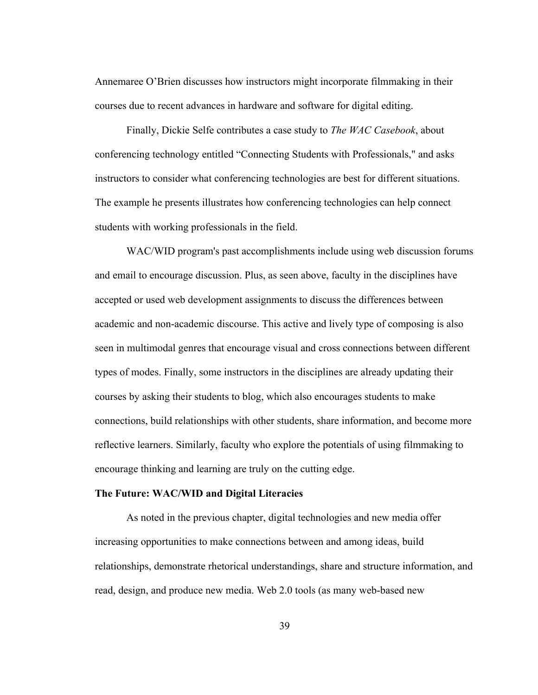Annemaree O'Brien discusses how instructors might incorporate filmmaking in their courses due to recent advances in hardware and software for digital editing.

Finally, Dickie Selfe contributes a case study to *The WAC Casebook*, about conferencing technology entitled "Connecting Students with Professionals," and asks instructors to consider what conferencing technologies are best for different situations. The example he presents illustrates how conferencing technologies can help connect students with working professionals in the field.

WAC/WID program's past accomplishments include using web discussion forums and email to encourage discussion. Plus, as seen above, faculty in the disciplines have accepted or used web development assignments to discuss the differences between academic and non-academic discourse. This active and lively type of composing is also seen in multimodal genres that encourage visual and cross connections between different types of modes. Finally, some instructors in the disciplines are already updating their courses by asking their students to blog, which also encourages students to make connections, build relationships with other students, share information, and become more reflective learners. Similarly, faculty who explore the potentials of using filmmaking to encourage thinking and learning are truly on the cutting edge.

### The Future: WAC/WID and Digital Literacies

As noted in the previous chapter, digital technologies and new media offer increasing opportunities to make connections between and among ideas, build relationships, demonstrate rhetorical understandings, share and structure information, and read, design, and produce new media. Web 2.0 tools (as many web-based new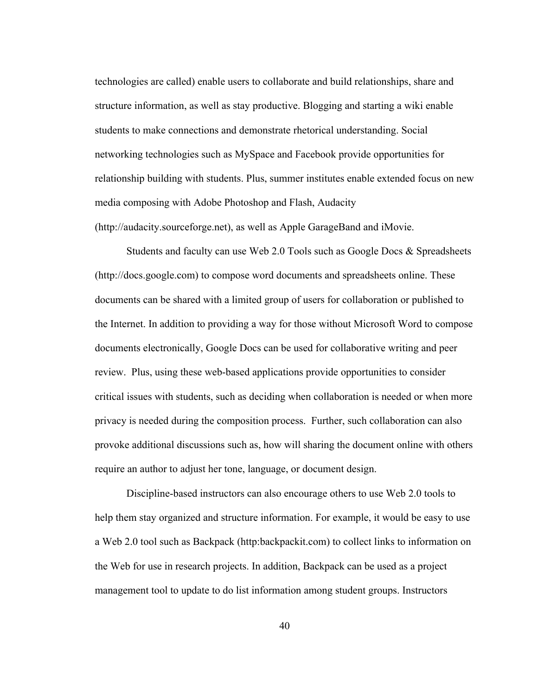technologies are called) enable users to collaborate and build relationships, share and structure information, as well as stay productive. Blogging and starting a wiki enable students to make connections and demonstrate rhetorical understanding. Social networking technologies such as MySpace and Facebook provide opportunities for relationship building with students. Plus, summer institutes enable extended focus on new media composing with Adobe Photoshop and Flash, Audacity (http://audacity.sourceforge.net), as well as Apple GarageBand and iMovie.

Students and faculty can use Web 2.0 Tools such as Google Docs & Spreadsheets (http://docs.google.com) to compose word documents and spreadsheets online. These documents can be shared with a limited group of users for collaboration or published to the Internet. In addition to providing a way for those without Microsoft Word to compose documents electronically, Google Docs can be used for collaborative writing and peer review. Plus, using these web-based applications provide opportunities to consider critical issues with students, such as deciding when collaboration is needed or when more privacy is needed during the composition process. Further, such collaboration can also provoke additional discussions such as, how will sharing the document online with others require an author to adjust her tone, language, or document design.

Discipline-based instructors can also encourage others to use Web 2.0 tools to help them stay organized and structure information. For example, it would be easy to use a Web 2.0 tool such as Backpack (http:backpackit.com) to collect links to information on the Web for use in research projects. In addition, Backpack can be used as a project management tool to update to do list information among student groups. Instructors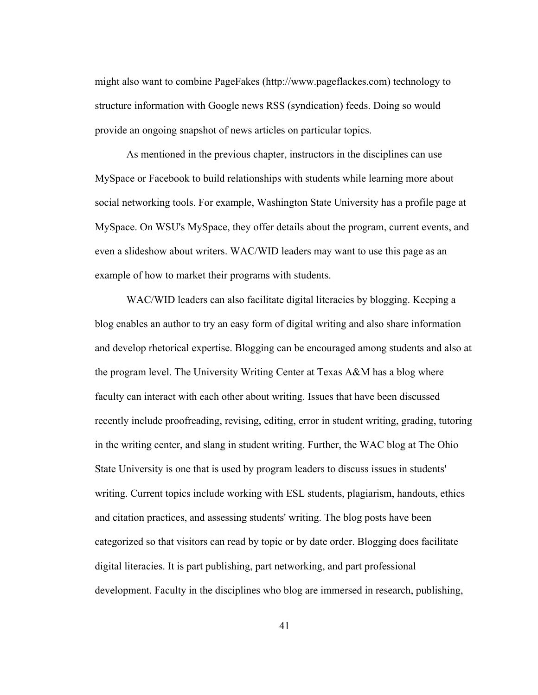might also want to combine PageFakes (http://www.pageflackes.com) technology to structure information with Google news RSS (syndication) feeds. Doing so would provide an ongoing snapshot of news articles on particular topics.

As mentioned in the previous chapter, instructors in the disciplines can use MySpace or Facebook to build relationships with students while learning more about social networking tools. For example, Washington State University has a profile page at MySpace. On WSU's MySpace, they offer details about the program, current events, and even a slideshow about writers. WAC/WID leaders may want to use this page as an example of how to market their programs with students.

WAC/WID leaders can also facilitate digital literacies by blogging. Keeping a blog enables an author to try an easy form of digital writing and also share information and develop rhetorical expertise. Blogging can be encouraged among students and also at the program level. The University Writing Center at Texas A&M has a blog where faculty can interact with each other about writing. Issues that have been discussed recently include proofreading, revising, editing, error in student writing, grading, tutoring in the writing center, and slang in student writing. Further, the WAC blog at The Ohio State University is one that is used by program leaders to discuss issues in students' writing. Current topics include working with ESL students, plagiarism, handouts, ethics and citation practices, and assessing students' writing. The blog posts have been categorized so that visitors can read by topic or by date order. Blogging does facilitate digital literacies. It is part publishing, part networking, and part professional development. Faculty in the disciplines who blog are immersed in research, publishing,

41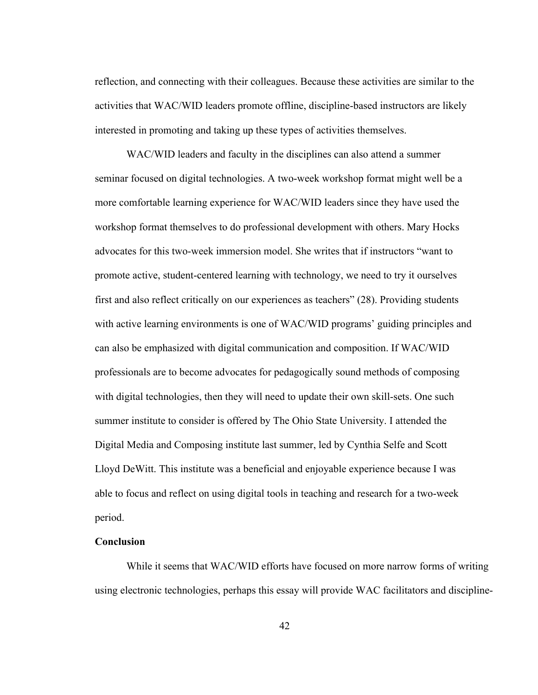reflection, and connecting with their colleagues. Because these activities are similar to the activities that WAC/WID leaders promote offline, discipline-based instructors are likely interested in promoting and taking up these types of activities themselves.

WAC/WID leaders and faculty in the disciplines can also attend a summer seminar focused on digital technologies. A two-week workshop format might well be a more comfortable learning experience for WAC/WID leaders since they have used the workshop format themselves to do professional development with others. Mary Hocks advocates for this two-week immersion model. She writes that if instructors "want to promote active, student-centered learning with technology, we need to try it ourselves first and also reflect critically on our experiences as teachers" (28). Providing students with active learning environments is one of WAC/WID programs' guiding principles and can also be emphasized with digital communication and composition. If WAC/WID professionals are to become advocates for pedagogically sound methods of composing with digital technologies, then they will need to update their own skill-sets. One such summer institute to consider is offered by The Ohio State University. I attended the Digital Media and Composing institute last summer, led by Cynthia Selfe and Scott Lloyd DeWitt. This institute was a beneficial and enjoyable experience because I was able to focus and reflect on using digital tools in teaching and research for a two-week period.

# **Conclusion**

While it seems that WAC/WID efforts have focused on more narrow forms of writing using electronic technologies, perhaps this essay will provide WAC facilitators and discipline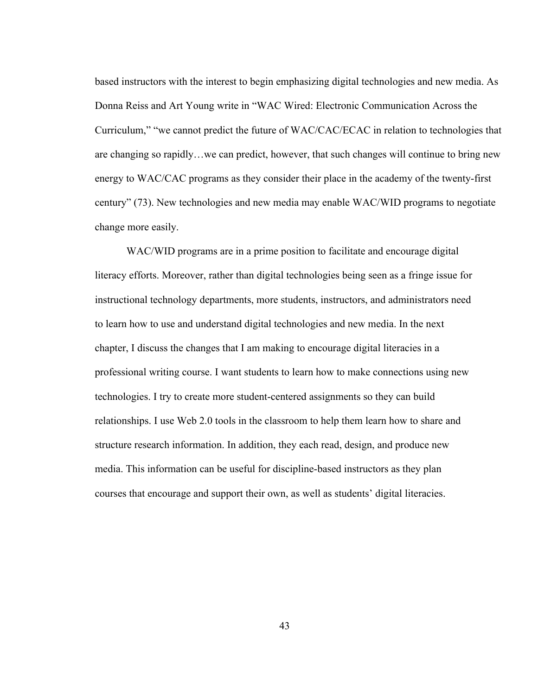based instructors with the interest to begin emphasizing digital technologies and new media. As Donna Reiss and Art Young write in "WAC Wired: Electronic Communication Across the Curriculum," "we cannot predict the future of WAC/CAC/ECAC in relation to technologies that are changing so rapidly…we can predict, however, that such changes will continue to bring new energy to WAC/CAC programs as they consider their place in the academy of the twenty-first century" (73). New technologies and new media may enable WAC/WID programs to negotiate change more easily.

WAC/WID programs are in a prime position to facilitate and encourage digital literacy efforts. Moreover, rather than digital technologies being seen as a fringe issue for instructional technology departments, more students, instructors, and administrators need to learn how to use and understand digital technologies and new media. In the next chapter, I discuss the changes that I am making to encourage digital literacies in a professional writing course. I want students to learn how to make connections using new technologies. I try to create more student-centered assignments so they can build relationships. I use Web 2.0 tools in the classroom to help them learn how to share and structure research information. In addition, they each read, design, and produce new media. This information can be useful for discipline-based instructors as they plan courses that encourage and support their own, as well as students' digital literacies.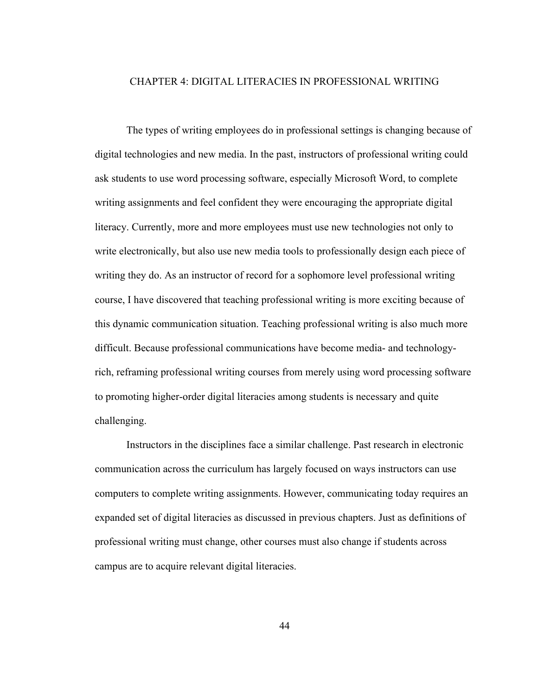### CHAPTER 4: DIGITAL LITERACIES IN PROFESSIONAL WRITING

The types of writing employees do in professional settings is changing because of digital technologies and new media. In the past, instructors of professional writing could ask students to use word processing software, especially Microsoft Word, to complete writing assignments and feel confident they were encouraging the appropriate digital literacy. Currently, more and more employees must use new technologies not only to write electronically, but also use new media tools to professionally design each piece of writing they do. As an instructor of record for a sophomore level professional writing course, I have discovered that teaching professional writing is more exciting because of this dynamic communication situation. Teaching professional writing is also much more difficult. Because professional communications have become media- and technologyrich, reframing professional writing courses from merely using word processing software to promoting higher-order digital literacies among students is necessary and quite challenging.

Instructors in the disciplines face a similar challenge. Past research in electronic communication across the curriculum has largely focused on ways instructors can use computers to complete writing assignments. However, communicating today requires an expanded set of digital literacies as discussed in previous chapters. Just as definitions of professional writing must change, other courses must also change if students across campus are to acquire relevant digital literacies.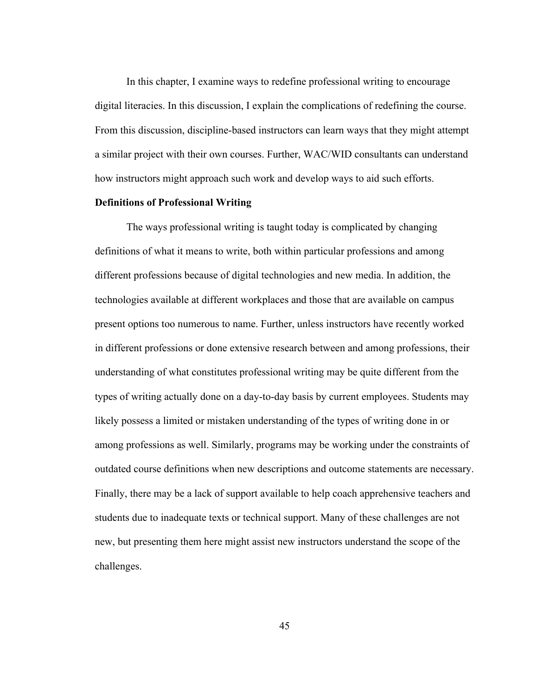In this chapter, I examine ways to redefine professional writing to encourage digital literacies. In this discussion, I explain the complications of redefining the course. From this discussion, discipline-based instructors can learn ways that they might attempt a similar project with their own courses. Further, WAC/WID consultants can understand how instructors might approach such work and develop ways to aid such efforts.

## Definitions of Professional Writing

The ways professional writing is taught today is complicated by changing definitions of what it means to write, both within particular professions and among different professions because of digital technologies and new media. In addition, the technologies available at different workplaces and those that are available on campus present options too numerous to name. Further, unless instructors have recently worked in different professions or done extensive research between and among professions, their understanding of what constitutes professional writing may be quite different from the types of writing actually done on a day-to-day basis by current employees. Students may likely possess a limited or mistaken understanding of the types of writing done in or among professions as well. Similarly, programs may be working under the constraints of outdated course definitions when new descriptions and outcome statements are necessary. Finally, there may be a lack of support available to help coach apprehensive teachers and students due to inadequate texts or technical support. Many of these challenges are not new, but presenting them here might assist new instructors understand the scope of the challenges.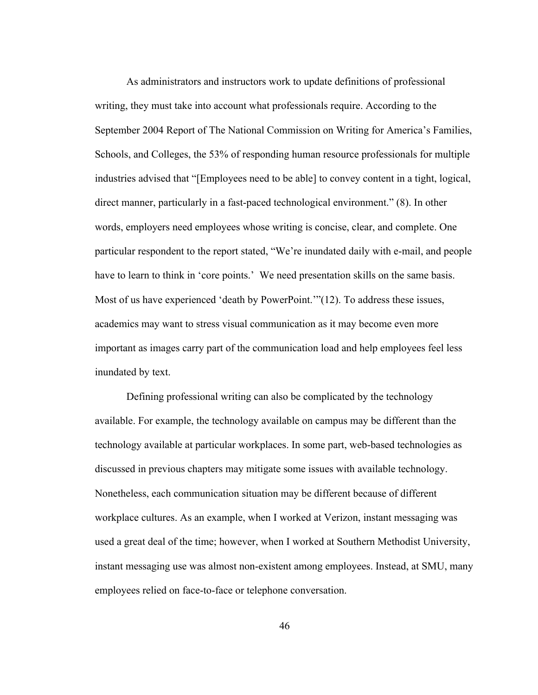As administrators and instructors work to update definitions of professional writing, they must take into account what professionals require. According to the September 2004 Report of The National Commission on Writing for America's Families, Schools, and Colleges, the 53% of responding human resource professionals for multiple industries advised that "[Employees need to be able] to convey content in a tight, logical, direct manner, particularly in a fast-paced technological environment." (8). In other words, employers need employees whose writing is concise, clear, and complete. One particular respondent to the report stated, "We're inundated daily with e-mail, and people have to learn to think in 'core points.' We need presentation skills on the same basis. Most of us have experienced 'death by PowerPoint.'"(12). To address these issues, academics may want to stress visual communication as it may become even more important as images carry part of the communication load and help employees feel less inundated by text.

Defining professional writing can also be complicated by the technology available. For example, the technology available on campus may be different than the technology available at particular workplaces. In some part, web-based technologies as discussed in previous chapters may mitigate some issues with available technology. Nonetheless, each communication situation may be different because of different workplace cultures. As an example, when I worked at Verizon, instant messaging was used a great deal of the time; however, when I worked at Southern Methodist University, instant messaging use was almost non-existent among employees. Instead, at SMU, many employees relied on face-to-face or telephone conversation.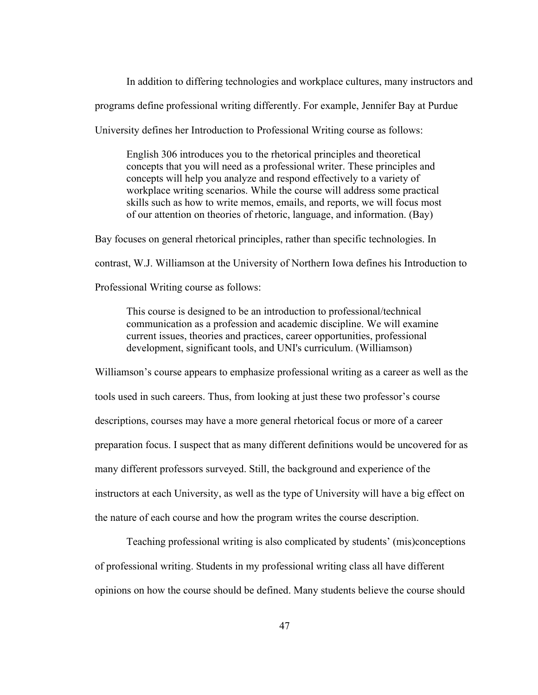In addition to differing technologies and workplace cultures, many instructors and programs define professional writing differently. For example, Jennifer Bay at Purdue

University defines her Introduction to Professional Writing course as follows:

English 306 introduces you to the rhetorical principles and theoretical concepts that you will need as a professional writer. These principles and concepts will help you analyze and respond effectively to a variety of workplace writing scenarios. While the course will address some practical skills such as how to write memos, emails, and reports, we will focus most of our attention on theories of rhetoric, language, and information. (Bay)

Bay focuses on general rhetorical principles, rather than specific technologies. In

contrast, W.J. Williamson at the University of Northern Iowa defines his Introduction to

Professional Writing course as follows:

This course is designed to be an introduction to professional/technical communication as a profession and academic discipline. We will examine current issues, theories and practices, career opportunities, professional development, significant tools, and UNI's curriculum. (Williamson)

Williamson's course appears to emphasize professional writing as a career as well as the tools used in such careers. Thus, from looking at just these two professor's course descriptions, courses may have a more general rhetorical focus or more of a career preparation focus. I suspect that as many different definitions would be uncovered for as many different professors surveyed. Still, the background and experience of the instructors at each University, as well as the type of University will have a big effect on the nature of each course and how the program writes the course description.

Teaching professional writing is also complicated by students' (mis)conceptions of professional writing. Students in my professional writing class all have different opinions on how the course should be defined. Many students believe the course should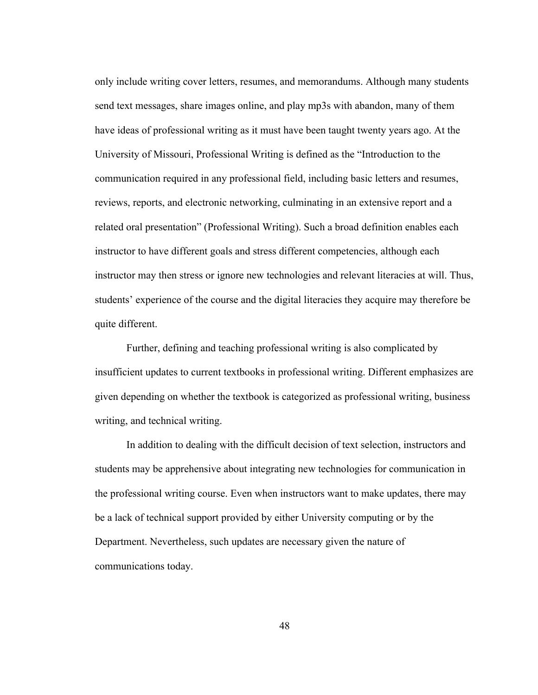only include writing cover letters, resumes, and memorandums. Although many students send text messages, share images online, and play mp3s with abandon, many of them have ideas of professional writing as it must have been taught twenty years ago. At the University of Missouri, Professional Writing is defined as the "Introduction to the communication required in any professional field, including basic letters and resumes, reviews, reports, and electronic networking, culminating in an extensive report and a related oral presentation" (Professional Writing). Such a broad definition enables each instructor to have different goals and stress different competencies, although each instructor may then stress or ignore new technologies and relevant literacies at will. Thus, students' experience of the course and the digital literacies they acquire may therefore be quite different.

Further, defining and teaching professional writing is also complicated by insufficient updates to current textbooks in professional writing. Different emphasizes are given depending on whether the textbook is categorized as professional writing, business writing, and technical writing.

In addition to dealing with the difficult decision of text selection, instructors and students may be apprehensive about integrating new technologies for communication in the professional writing course. Even when instructors want to make updates, there may be a lack of technical support provided by either University computing or by the Department. Nevertheless, such updates are necessary given the nature of communications today.

48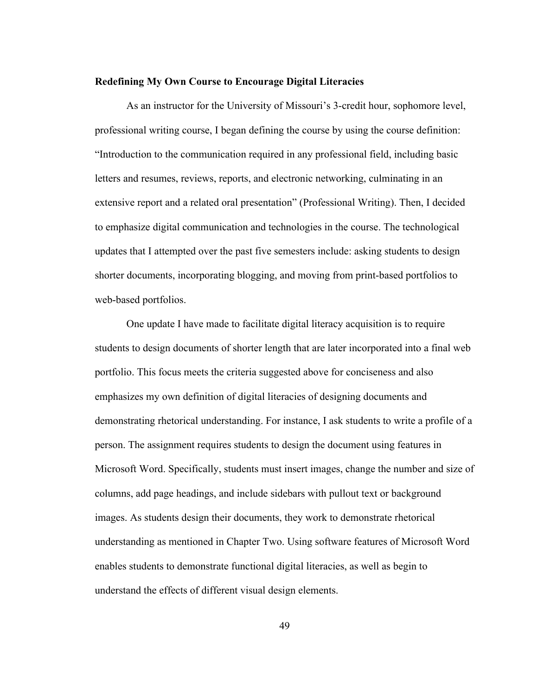### Redefining My Own Course to Encourage Digital Literacies

As an instructor for the University of Missouri's 3-credit hour, sophomore level, professional writing course, I began defining the course by using the course definition: "Introduction to the communication required in any professional field, including basic letters and resumes, reviews, reports, and electronic networking, culminating in an extensive report and a related oral presentation" (Professional Writing). Then, I decided to emphasize digital communication and technologies in the course. The technological updates that I attempted over the past five semesters include: asking students to design shorter documents, incorporating blogging, and moving from print-based portfolios to web-based portfolios.

One update I have made to facilitate digital literacy acquisition is to require students to design documents of shorter length that are later incorporated into a final web portfolio. This focus meets the criteria suggested above for conciseness and also emphasizes my own definition of digital literacies of designing documents and demonstrating rhetorical understanding. For instance, I ask students to write a profile of a person. The assignment requires students to design the document using features in Microsoft Word. Specifically, students must insert images, change the number and size of columns, add page headings, and include sidebars with pullout text or background images. As students design their documents, they work to demonstrate rhetorical understanding as mentioned in Chapter Two. Using software features of Microsoft Word enables students to demonstrate functional digital literacies, as well as begin to understand the effects of different visual design elements.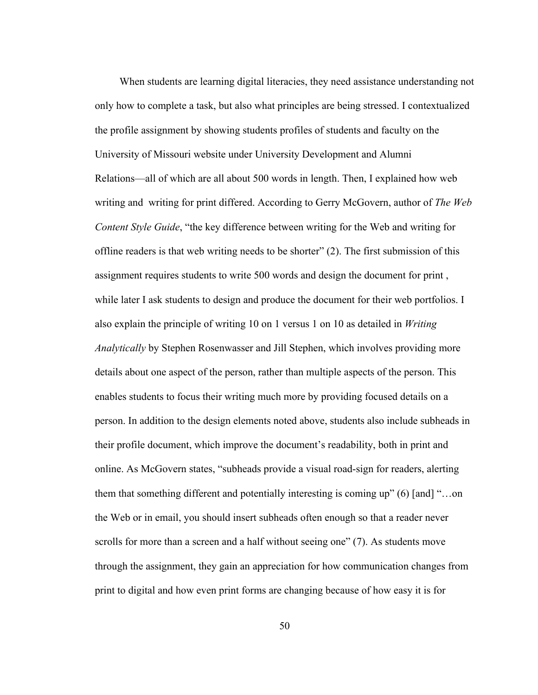When students are learning digital literacies, they need assistance understanding not only how to complete a task, but also what principles are being stressed. I contextualized the profile assignment by showing students profiles of students and faculty on the University of Missouri website under University Development and Alumni Relations—all of which are all about 500 words in length. Then, I explained how web writing and writing for print differed. According to Gerry McGovern, author of *The Web Content Style Guide*, "the key difference between writing for the Web and writing for offline readers is that web writing needs to be shorter" (2). The first submission of this assignment requires students to write 500 words and design the document for print , while later I ask students to design and produce the document for their web portfolios. I also explain the principle of writing 10 on 1 versus 1 on 10 as detailed in *Writing Analytically* by Stephen Rosenwasser and Jill Stephen, which involves providing more details about one aspect of the person, rather than multiple aspects of the person. This enables students to focus their writing much more by providing focused details on a person. In addition to the design elements noted above, students also include subheads in their profile document, which improve the document's readability, both in print and online. As McGovern states, "subheads provide a visual road-sign for readers, alerting them that something different and potentially interesting is coming up" (6) [and] "…on the Web or in email, you should insert subheads often enough so that a reader never scrolls for more than a screen and a half without seeing one" (7). As students move through the assignment, they gain an appreciation for how communication changes from print to digital and how even print forms are changing because of how easy it is for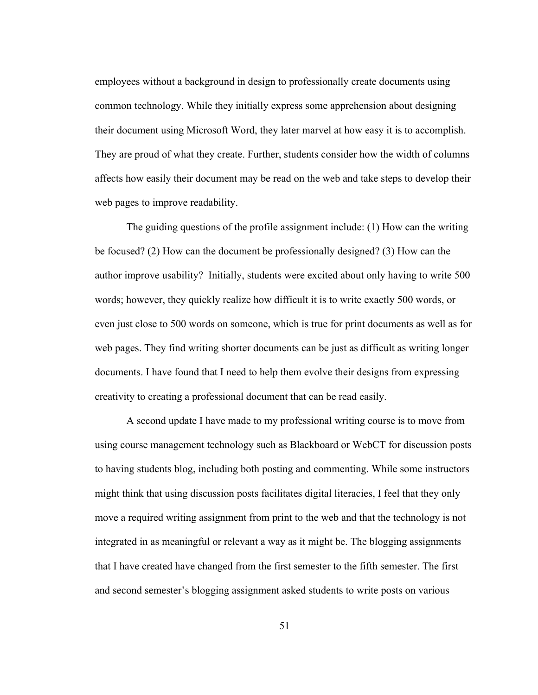employees without a background in design to professionally create documents using common technology. While they initially express some apprehension about designing their document using Microsoft Word, they later marvel at how easy it is to accomplish. They are proud of what they create. Further, students consider how the width of columns affects how easily their document may be read on the web and take steps to develop their web pages to improve readability.

The guiding questions of the profile assignment include: (1) How can the writing be focused? (2) How can the document be professionally designed? (3) How can the author improve usability? Initially, students were excited about only having to write 500 words; however, they quickly realize how difficult it is to write exactly 500 words, or even just close to 500 words on someone, which is true for print documents as well as for web pages. They find writing shorter documents can be just as difficult as writing longer documents. I have found that I need to help them evolve their designs from expressing creativity to creating a professional document that can be read easily.

A second update I have made to my professional writing course is to move from using course management technology such as Blackboard or WebCT for discussion posts to having students blog, including both posting and commenting. While some instructors might think that using discussion posts facilitates digital literacies, I feel that they only move a required writing assignment from print to the web and that the technology is not integrated in as meaningful or relevant a way as it might be. The blogging assignments that I have created have changed from the first semester to the fifth semester. The first and second semester's blogging assignment asked students to write posts on various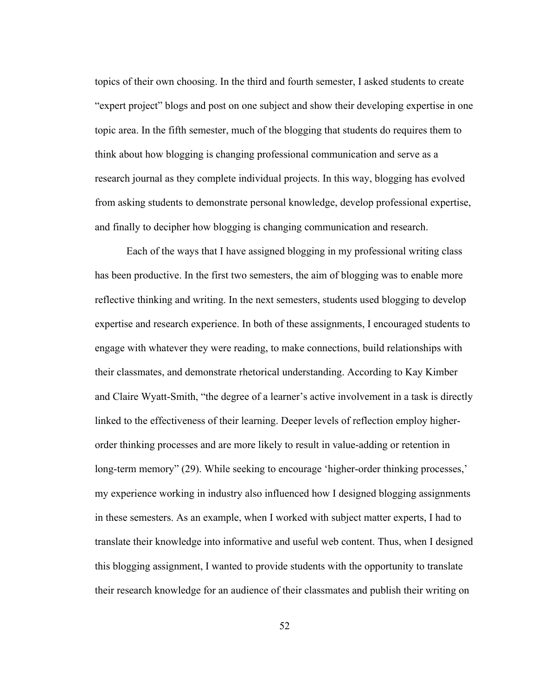topics of their own choosing. In the third and fourth semester, I asked students to create "expert project" blogs and post on one subject and show their developing expertise in one topic area. In the fifth semester, much of the blogging that students do requires them to think about how blogging is changing professional communication and serve as a research journal as they complete individual projects. In this way, blogging has evolved from asking students to demonstrate personal knowledge, develop professional expertise, and finally to decipher how blogging is changing communication and research.

Each of the ways that I have assigned blogging in my professional writing class has been productive. In the first two semesters, the aim of blogging was to enable more reflective thinking and writing. In the next semesters, students used blogging to develop expertise and research experience. In both of these assignments, I encouraged students to engage with whatever they were reading, to make connections, build relationships with their classmates, and demonstrate rhetorical understanding. According to Kay Kimber and Claire Wyatt-Smith, "the degree of a learner's active involvement in a task is directly linked to the effectiveness of their learning. Deeper levels of reflection employ higherorder thinking processes and are more likely to result in value-adding or retention in long-term memory" (29). While seeking to encourage 'higher-order thinking processes,' my experience working in industry also influenced how I designed blogging assignments in these semesters. As an example, when I worked with subject matter experts, I had to translate their knowledge into informative and useful web content. Thus, when I designed this blogging assignment, I wanted to provide students with the opportunity to translate their research knowledge for an audience of their classmates and publish their writing on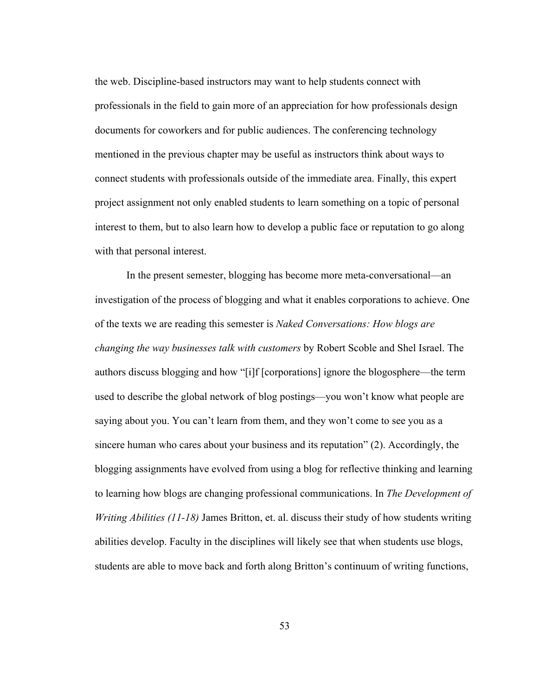the web. Discipline-based instructors may want to help students connect with professionals in the field to gain more of an appreciation for how professionals design documents for coworkers and for public audiences. The conferencing technology mentioned in the previous chapter may be useful as instructors think about ways to connect students with professionals outside of the immediate area. Finally, this expert project assignment not only enabled students to learn something on a topic of personal interest to them, but to also learn how to develop a public face or reputation to go along with that personal interest.

In the present semester, blogging has become more meta-conversational—an investigation of the process of blogging and what it enables corporations to achieve. One of the texts we are reading this semester is *Naked Conversations: How blogs are changing the way businesses talk with customers* by Robert Scoble and Shel Israel. The authors discuss blogging and how "[i]f [corporations] ignore the blogosphere—the term used to describe the global network of blog postings—you won't know what people are saying about you. You can't learn from them, and they won't come to see you as a sincere human who cares about your business and its reputation" (2). Accordingly, the blogging assignments have evolved from using a blog for reflective thinking and learning to learning how blogs are changing professional communications. In *The Development of Writing Abilities (11-18)* James Britton, et. al. discuss their study of how students writing abilities develop. Faculty in the disciplines will likely see that when students use blogs, students are able to move back and forth along Britton's continuum of writing functions,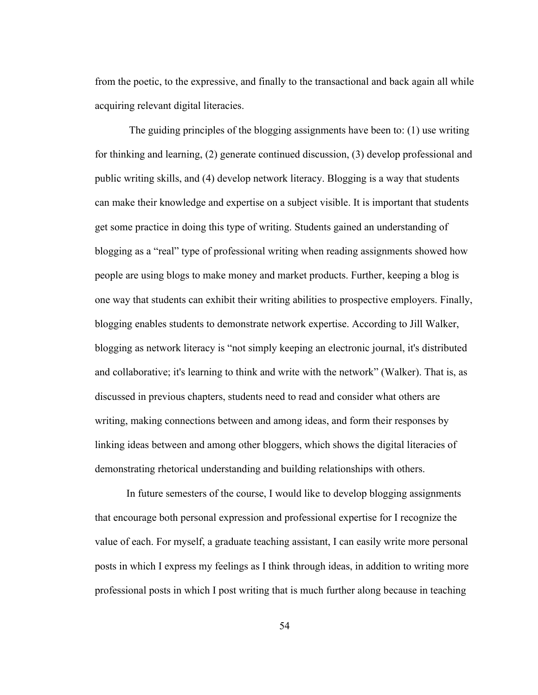from the poetic, to the expressive, and finally to the transactional and back again all while acquiring relevant digital literacies.

 The guiding principles of the blogging assignments have been to: (1) use writing for thinking and learning, (2) generate continued discussion, (3) develop professional and public writing skills, and (4) develop network literacy. Blogging is a way that students can make their knowledge and expertise on a subject visible. It is important that students get some practice in doing this type of writing. Students gained an understanding of blogging as a "real" type of professional writing when reading assignments showed how people are using blogs to make money and market products. Further, keeping a blog is one way that students can exhibit their writing abilities to prospective employers. Finally, blogging enables students to demonstrate network expertise. According to Jill Walker, blogging as network literacy is "not simply keeping an electronic journal, it's distributed and collaborative; it's learning to think and write with the network" (Walker). That is, as discussed in previous chapters, students need to read and consider what others are writing, making connections between and among ideas, and form their responses by linking ideas between and among other bloggers, which shows the digital literacies of demonstrating rhetorical understanding and building relationships with others.

In future semesters of the course, I would like to develop blogging assignments that encourage both personal expression and professional expertise for I recognize the value of each. For myself, a graduate teaching assistant, I can easily write more personal posts in which I express my feelings as I think through ideas, in addition to writing more professional posts in which I post writing that is much further along because in teaching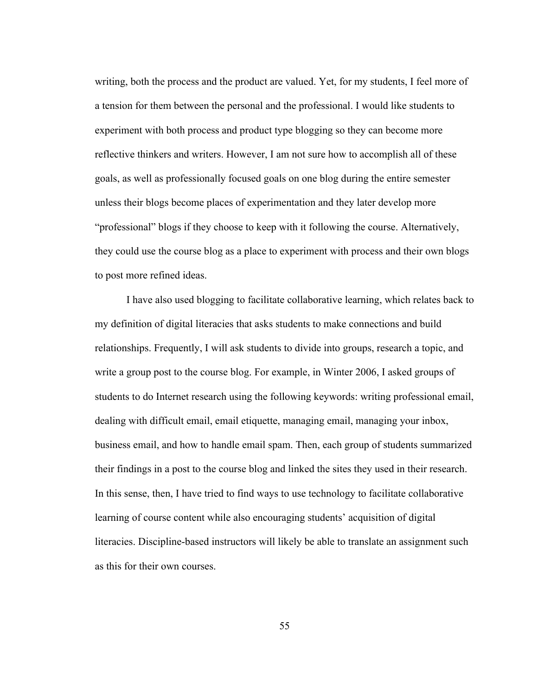writing, both the process and the product are valued. Yet, for my students, I feel more of a tension for them between the personal and the professional. I would like students to experiment with both process and product type blogging so they can become more reflective thinkers and writers. However, I am not sure how to accomplish all of these goals, as well as professionally focused goals on one blog during the entire semester unless their blogs become places of experimentation and they later develop more "professional" blogs if they choose to keep with it following the course. Alternatively, they could use the course blog as a place to experiment with process and their own blogs to post more refined ideas.

I have also used blogging to facilitate collaborative learning, which relates back to my definition of digital literacies that asks students to make connections and build relationships. Frequently, I will ask students to divide into groups, research a topic, and write a group post to the course blog. For example, in Winter 2006, I asked groups of students to do Internet research using the following keywords: writing professional email, dealing with difficult email, email etiquette, managing email, managing your inbox, business email, and how to handle email spam. Then, each group of students summarized their findings in a post to the course blog and linked the sites they used in their research. In this sense, then, I have tried to find ways to use technology to facilitate collaborative learning of course content while also encouraging students' acquisition of digital literacies. Discipline-based instructors will likely be able to translate an assignment such as this for their own courses.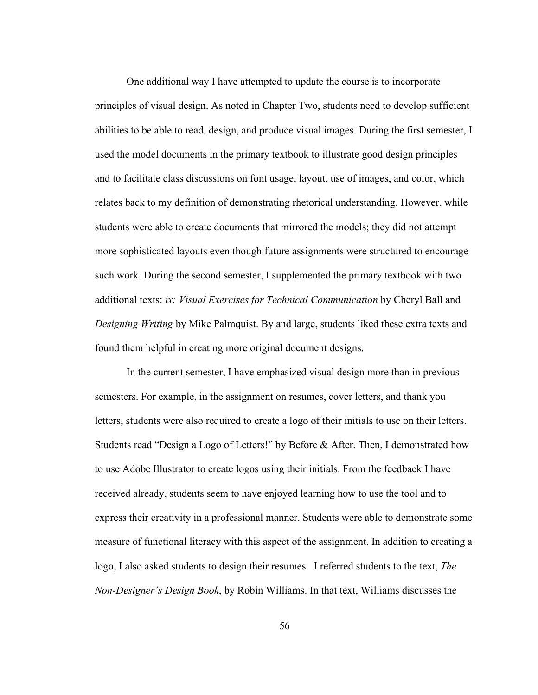One additional way I have attempted to update the course is to incorporate principles of visual design. As noted in Chapter Two, students need to develop sufficient abilities to be able to read, design, and produce visual images. During the first semester, I used the model documents in the primary textbook to illustrate good design principles and to facilitate class discussions on font usage, layout, use of images, and color, which relates back to my definition of demonstrating rhetorical understanding. However, while students were able to create documents that mirrored the models; they did not attempt more sophisticated layouts even though future assignments were structured to encourage such work. During the second semester, I supplemented the primary textbook with two additional texts: *ix: Visual Exercises for Technical Communication* by Cheryl Ball and *Designing Writing* by Mike Palmquist. By and large, students liked these extra texts and found them helpful in creating more original document designs.

In the current semester, I have emphasized visual design more than in previous semesters. For example, in the assignment on resumes, cover letters, and thank you letters, students were also required to create a logo of their initials to use on their letters. Students read "Design a Logo of Letters!" by Before & After. Then, I demonstrated how to use Adobe Illustrator to create logos using their initials. From the feedback I have received already, students seem to have enjoyed learning how to use the tool and to express their creativity in a professional manner. Students were able to demonstrate some measure of functional literacy with this aspect of the assignment. In addition to creating a logo, I also asked students to design their resumes. I referred students to the text, *The Non-Designer's Design Book*, by Robin Williams. In that text, Williams discusses the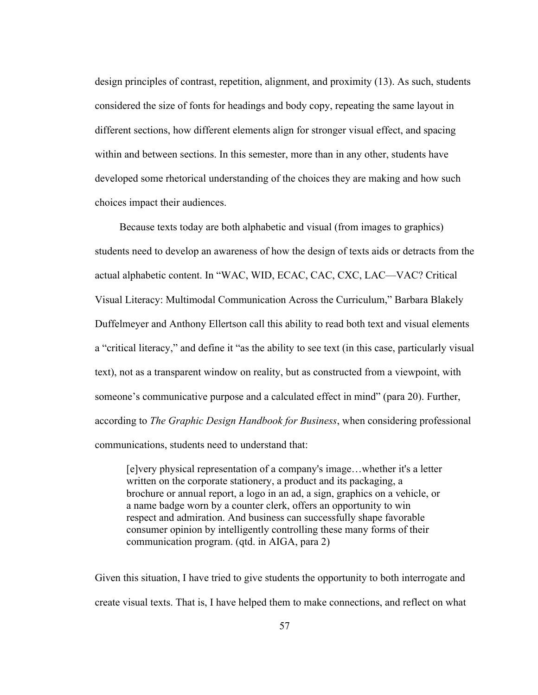design principles of contrast, repetition, alignment, and proximity (13). As such, students considered the size of fonts for headings and body copy, repeating the same layout in different sections, how different elements align for stronger visual effect, and spacing within and between sections. In this semester, more than in any other, students have developed some rhetorical understanding of the choices they are making and how such choices impact their audiences.

Because texts today are both alphabetic and visual (from images to graphics) students need to develop an awareness of how the design of texts aids or detracts from the actual alphabetic content. In "WAC, WID, ECAC, CAC, CXC, LAC—VAC? Critical Visual Literacy: Multimodal Communication Across the Curriculum," Barbara Blakely Duffelmeyer and Anthony Ellertson call this ability to read both text and visual elements a "critical literacy," and define it "as the ability to see text (in this case, particularly visual text), not as a transparent window on reality, but as constructed from a viewpoint, with someone's communicative purpose and a calculated effect in mind" (para 20). Further, according to *The Graphic Design Handbook for Business*, when considering professional communications, students need to understand that:

[e]very physical representation of a company's image…whether it's a letter written on the corporate stationery, a product and its packaging, a brochure or annual report, a logo in an ad, a sign, graphics on a vehicle, or a name badge worn by a counter clerk, offers an opportunity to win respect and admiration. And business can successfully shape favorable consumer opinion by intelligently controlling these many forms of their communication program. (qtd. in AIGA, para 2)

Given this situation, I have tried to give students the opportunity to both interrogate and create visual texts. That is, I have helped them to make connections, and reflect on what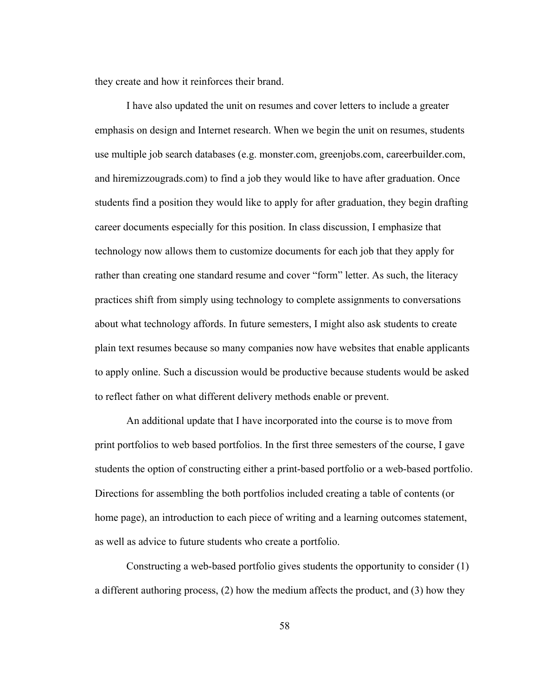they create and how it reinforces their brand.

I have also updated the unit on resumes and cover letters to include a greater emphasis on design and Internet research. When we begin the unit on resumes, students use multiple job search databases (e.g. monster.com, greenjobs.com, careerbuilder.com, and hiremizzougrads.com) to find a job they would like to have after graduation. Once students find a position they would like to apply for after graduation, they begin drafting career documents especially for this position. In class discussion, I emphasize that technology now allows them to customize documents for each job that they apply for rather than creating one standard resume and cover "form" letter. As such, the literacy practices shift from simply using technology to complete assignments to conversations about what technology affords. In future semesters, I might also ask students to create plain text resumes because so many companies now have websites that enable applicants to apply online. Such a discussion would be productive because students would be asked to reflect father on what different delivery methods enable or prevent.

An additional update that I have incorporated into the course is to move from print portfolios to web based portfolios. In the first three semesters of the course, I gave students the option of constructing either a print-based portfolio or a web-based portfolio. Directions for assembling the both portfolios included creating a table of contents (or home page), an introduction to each piece of writing and a learning outcomes statement, as well as advice to future students who create a portfolio.

Constructing a web-based portfolio gives students the opportunity to consider (1) a different authoring process, (2) how the medium affects the product, and (3) how they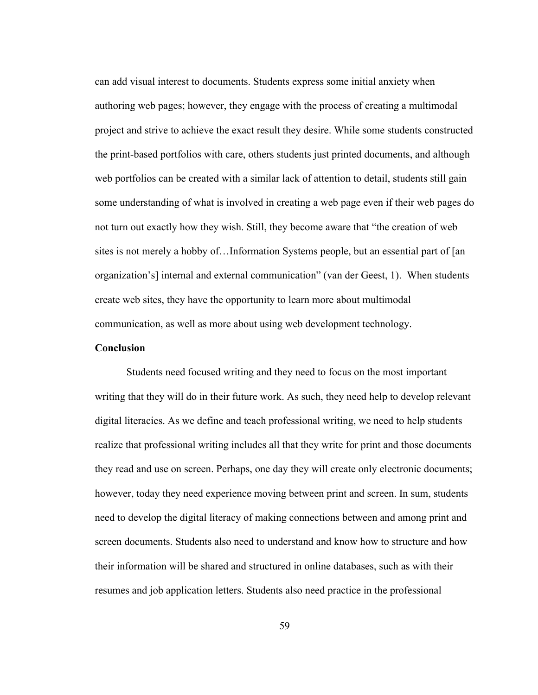can add visual interest to documents. Students express some initial anxiety when authoring web pages; however, they engage with the process of creating a multimodal project and strive to achieve the exact result they desire. While some students constructed the print-based portfolios with care, others students just printed documents, and although web portfolios can be created with a similar lack of attention to detail, students still gain some understanding of what is involved in creating a web page even if their web pages do not turn out exactly how they wish. Still, they become aware that "the creation of web sites is not merely a hobby of…Information Systems people, but an essential part of [an organization's] internal and external communication" (van der Geest, 1). When students create web sites, they have the opportunity to learn more about multimodal communication, as well as more about using web development technology.

# **Conclusion**

Students need focused writing and they need to focus on the most important writing that they will do in their future work. As such, they need help to develop relevant digital literacies. As we define and teach professional writing, we need to help students realize that professional writing includes all that they write for print and those documents they read and use on screen. Perhaps, one day they will create only electronic documents; however, today they need experience moving between print and screen. In sum, students need to develop the digital literacy of making connections between and among print and screen documents. Students also need to understand and know how to structure and how their information will be shared and structured in online databases, such as with their resumes and job application letters. Students also need practice in the professional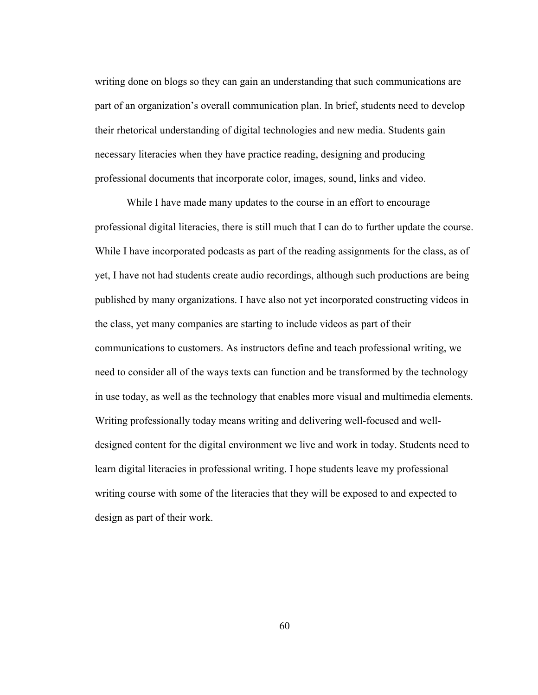writing done on blogs so they can gain an understanding that such communications are part of an organization's overall communication plan. In brief, students need to develop their rhetorical understanding of digital technologies and new media. Students gain necessary literacies when they have practice reading, designing and producing professional documents that incorporate color, images, sound, links and video.

While I have made many updates to the course in an effort to encourage professional digital literacies, there is still much that I can do to further update the course. While I have incorporated podcasts as part of the reading assignments for the class, as of yet, I have not had students create audio recordings, although such productions are being published by many organizations. I have also not yet incorporated constructing videos in the class, yet many companies are starting to include videos as part of their communications to customers. As instructors define and teach professional writing, we need to consider all of the ways texts can function and be transformed by the technology in use today, as well as the technology that enables more visual and multimedia elements. Writing professionally today means writing and delivering well-focused and welldesigned content for the digital environment we live and work in today. Students need to learn digital literacies in professional writing. I hope students leave my professional writing course with some of the literacies that they will be exposed to and expected to design as part of their work.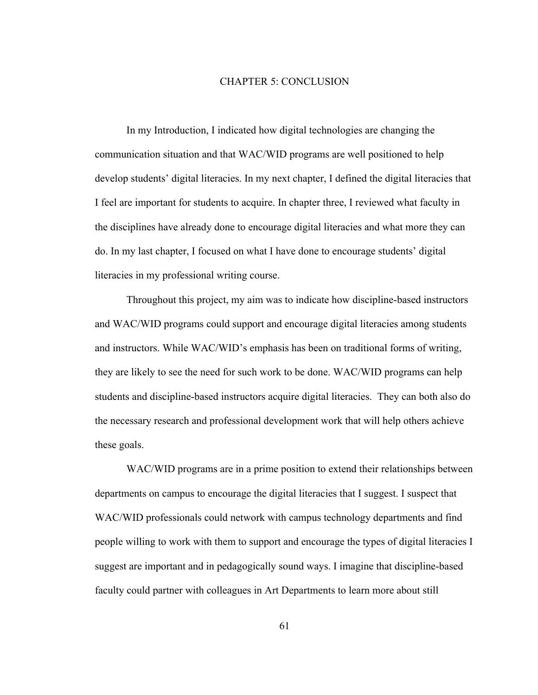### CHAPTER 5: CONCLUSION

In my Introduction, I indicated how digital technologies are changing the communication situation and that WAC/WID programs are well positioned to help develop students' digital literacies. In my next chapter, I defined the digital literacies that I feel are important for students to acquire. In chapter three, I reviewed what faculty in the disciplines have already done to encourage digital literacies and what more they can do. In my last chapter, I focused on what I have done to encourage students' digital literacies in my professional writing course.

Throughout this project, my aim was to indicate how discipline-based instructors and WAC/WID programs could support and encourage digital literacies among students and instructors. While WAC/WID's emphasis has been on traditional forms of writing, they are likely to see the need for such work to be done. WAC/WID programs can help students and discipline-based instructors acquire digital literacies. They can both also do the necessary research and professional development work that will help others achieve these goals.

WAC/WID programs are in a prime position to extend their relationships between departments on campus to encourage the digital literacies that I suggest. I suspect that WAC/WID professionals could network with campus technology departments and find people willing to work with them to support and encourage the types of digital literacies I suggest are important and in pedagogically sound ways. I imagine that discipline-based faculty could partner with colleagues in Art Departments to learn more about still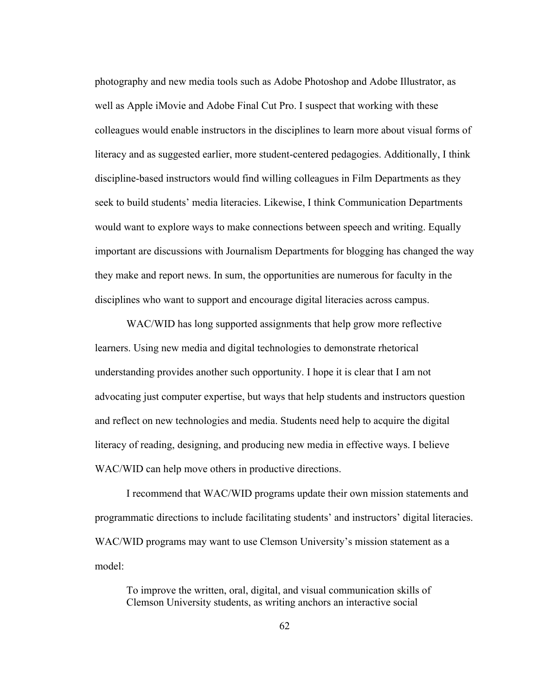photography and new media tools such as Adobe Photoshop and Adobe Illustrator, as well as Apple iMovie and Adobe Final Cut Pro. I suspect that working with these colleagues would enable instructors in the disciplines to learn more about visual forms of literacy and as suggested earlier, more student-centered pedagogies. Additionally, I think discipline-based instructors would find willing colleagues in Film Departments as they seek to build students' media literacies. Likewise, I think Communication Departments would want to explore ways to make connections between speech and writing. Equally important are discussions with Journalism Departments for blogging has changed the way they make and report news. In sum, the opportunities are numerous for faculty in the disciplines who want to support and encourage digital literacies across campus.

WAC/WID has long supported assignments that help grow more reflective learners. Using new media and digital technologies to demonstrate rhetorical understanding provides another such opportunity. I hope it is clear that I am not advocating just computer expertise, but ways that help students and instructors question and reflect on new technologies and media. Students need help to acquire the digital literacy of reading, designing, and producing new media in effective ways. I believe WAC/WID can help move others in productive directions.

I recommend that WAC/WID programs update their own mission statements and programmatic directions to include facilitating students' and instructors' digital literacies. WAC/WID programs may want to use Clemson University's mission statement as a model:

To improve the written, oral, digital, and visual communication skills of Clemson University students, as writing anchors an interactive social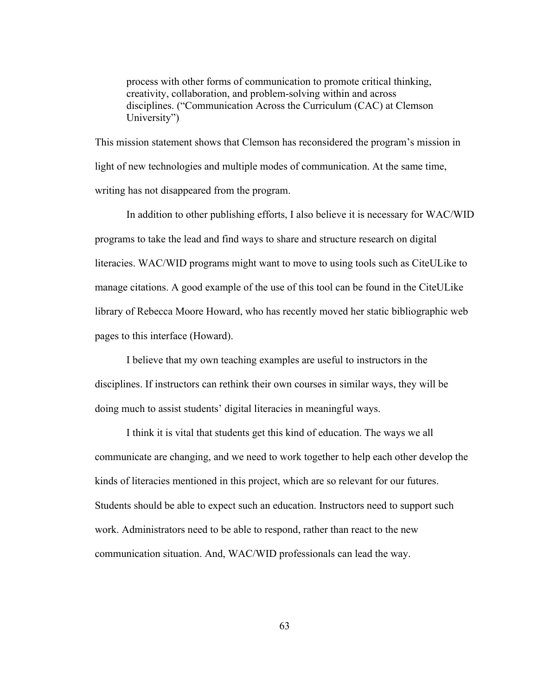process with other forms of communication to promote critical thinking, creativity, collaboration, and problem-solving within and across disciplines. ("Communication Across the Curriculum (CAC) at Clemson University")

This mission statement shows that Clemson has reconsidered the program's mission in light of new technologies and multiple modes of communication. At the same time, writing has not disappeared from the program.

In addition to other publishing efforts, I also believe it is necessary for WAC/WID programs to take the lead and find ways to share and structure research on digital literacies. WAC/WID programs might want to move to using tools such as CiteULike to manage citations. A good example of the use of this tool can be found in the CiteULike library of Rebecca Moore Howard, who has recently moved her static bibliographic web pages to this interface (Howard).

I believe that my own teaching examples are useful to instructors in the disciplines. If instructors can rethink their own courses in similar ways, they will be doing much to assist students' digital literacies in meaningful ways.

I think it is vital that students get this kind of education. The ways we all communicate are changing, and we need to work together to help each other develop the kinds of literacies mentioned in this project, which are so relevant for our futures. Students should be able to expect such an education. Instructors need to support such work. Administrators need to be able to respond, rather than react to the new communication situation. And, WAC/WID professionals can lead the way.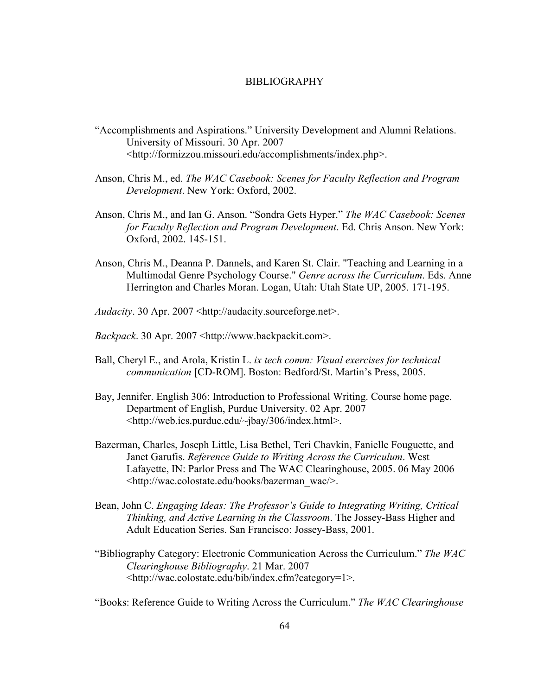# BIBLIOGRAPHY

- "Accomplishments and Aspirations." University Development and Alumni Relations. University of Missouri. 30 Apr. 2007 <http://formizzou.missouri.edu/accomplishments/index.php>.
- Anson, Chris M., ed. *The WAC Casebook: Scenes for Faculty Reflection and Program Development*. New York: Oxford, 2002.
- Anson, Chris M., and Ian G. Anson. "Sondra Gets Hyper." *The WAC Casebook: Scenes for Faculty Reflection and Program Development*. Ed. Chris Anson. New York: Oxford, 2002. 145-151.
- Anson, Chris M., Deanna P. Dannels, and Karen St. Clair. "Teaching and Learning in a Multimodal Genre Psychology Course." *Genre across the Curriculum*. Eds. Anne Herrington and Charles Moran. Logan, Utah: Utah State UP, 2005. 171-195.
- *Audacity*. 30 Apr. 2007 <http://audacity.sourceforge.net>.
- *Backpack*. 30 Apr. 2007 <http://www.backpackit.com>.
- Ball, Cheryl E., and Arola, Kristin L. *ix tech comm: Visual exercises for technical communication* [CD-ROM]. Boston: Bedford/St. Martin's Press, 2005.
- Bay, Jennifer. English 306: Introduction to Professional Writing. Course home page. Department of English, Purdue University. 02 Apr. 2007 <http://web.ics.purdue.edu/~jbay/306/index.html>.
- Bazerman, Charles, Joseph Little, Lisa Bethel, Teri Chavkin, Fanielle Fouguette, and Janet Garufis. *Reference Guide to Writing Across the Curriculum*. West Lafayette, IN: Parlor Press and The WAC Clearinghouse, 2005. 06 May 2006 <http://wac.colostate.edu/books/bazerman\_wac/>.
- Bean, John C. *Engaging Ideas: The Professor's Guide to Integrating Writing, Critical Thinking, and Active Learning in the Classroom*. The Jossey-Bass Higher and Adult Education Series. San Francisco: Jossey-Bass, 2001.
- "Bibliography Category: Electronic Communication Across the Curriculum." *The WAC Clearinghouse Bibliography*. 21 Mar. 2007 <http://wac.colostate.edu/bib/index.cfm?category=1>.

"Books: Reference Guide to Writing Across the Curriculum." *The WAC Clearinghouse*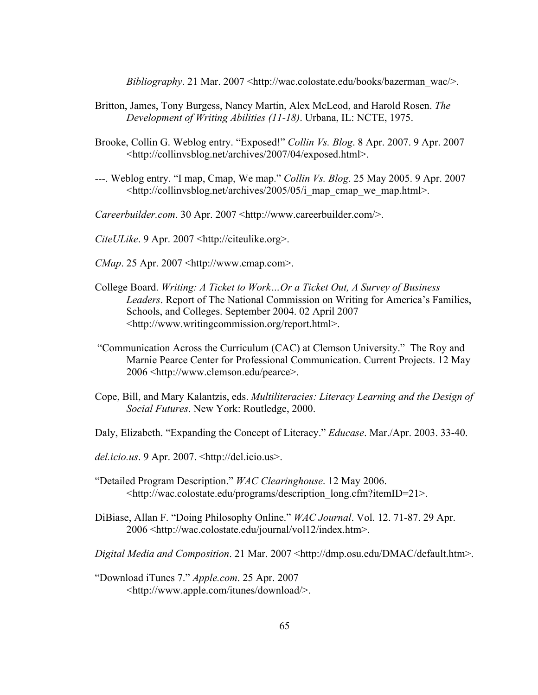*Bibliography*. 21 Mar. 2007 <http://wac.colostate.edu/books/bazerman\_wac/>.

- Britton, James, Tony Burgess, Nancy Martin, Alex McLeod, and Harold Rosen. *The Development of Writing Abilities (11-18)*. Urbana, IL: NCTE, 1975.
- Brooke, Collin G. Weblog entry. "Exposed!" *Collin Vs. Blog*. 8 Apr. 2007. 9 Apr. 2007 <http://collinvsblog.net/archives/2007/04/exposed.html>.
- ---. Weblog entry. "I map, Cmap, We map." *Collin Vs. Blog*. 25 May 2005. 9 Apr. 2007 <http://collinvsblog.net/archives/2005/05/i\_map\_cmap\_we\_map.html>.

*Careerbuilder.com.* 30 Apr. 2007 <http://www.careerbuilder.com/>.

*CiteULike*. 9 Apr. 2007 <http://citeulike.org>.

- *CMap*. 25 Apr. 2007 <http://www.cmap.com>.
- College Board. *Writing: A Ticket to Work…Or a Ticket Out, A Survey of Business Leaders*. Report of The National Commission on Writing for America's Families, Schools, and Colleges. September 2004. 02 April 2007 <http://www.writingcommission.org/report.html>.
- "Communication Across the Curriculum (CAC) at Clemson University." The Roy and Marnie Pearce Center for Professional Communication. Current Projects. 12 May 2006 <http://www.clemson.edu/pearce>.
- Cope, Bill, and Mary Kalantzis, eds. *Multiliteracies: Literacy Learning and the Design of Social Futures*. New York: Routledge, 2000.
- Daly, Elizabeth. "Expanding the Concept of Literacy." *Educase*. Mar./Apr. 2003. 33-40.
- *del.icio.us*. 9 Apr. 2007. <http://del.icio.us>.
- "Detailed Program Description." *WAC Clearinghouse*. 12 May 2006. <http://wac.colostate.edu/programs/description\_long.cfm?itemID=21>.
- DiBiase, Allan F. "Doing Philosophy Online." *WAC Journal*. Vol. 12. 71-87. 29 Apr. 2006 <http://wac.colostate.edu/journal/vol12/index.htm>.

*Digital Media and Composition*. 21 Mar. 2007 <http://dmp.osu.edu/DMAC/default.htm>.

"Download iTunes 7." *Apple.com*. 25 Apr. 2007 <http://www.apple.com/itunes/download/>.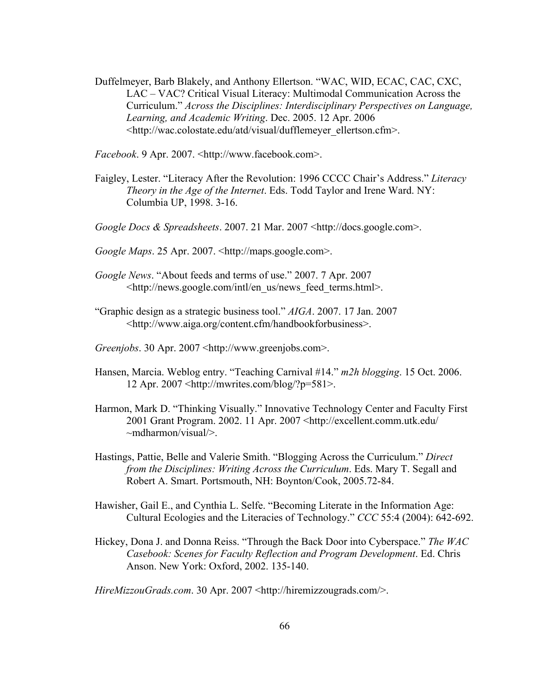Duffelmeyer, Barb Blakely, and Anthony Ellertson. "WAC, WID, ECAC, CAC, CXC, LAC – VAC? Critical Visual Literacy: Multimodal Communication Across the Curriculum." *Across the Disciplines: Interdisciplinary Perspectives on Language, Learning, and Academic Writing*. Dec. 2005. 12 Apr. 2006 <http://wac.colostate.edu/atd/visual/dufflemeyer\_ellertson.cfm>.

*Facebook*. 9 Apr. 2007. <http://www.facebook.com>.

Faigley, Lester. "Literacy After the Revolution: 1996 CCCC Chair's Address." *Literacy Theory in the Age of the Internet*. Eds. Todd Taylor and Irene Ward. NY: Columbia UP, 1998. 3-16.

*Google Docs & Spreadsheets*. 2007. 21 Mar. 2007 <http://docs.google.com>.

*Google Maps*. 25 Apr. 2007. <http://maps.google.com>.

- *Google News*. "About feeds and terms of use." 2007. 7 Apr. 2007 <http://news.google.com/intl/en\_us/news\_feed\_terms.html>.
- "Graphic design as a strategic business tool." *AIGA*. 2007. 17 Jan. 2007 <http://www.aiga.org/content.cfm/handbookforbusiness>.

*Greenjobs*. 30 Apr. 2007 <http://www.greenjobs.com>.

- Hansen, Marcia. Weblog entry. "Teaching Carnival #14." *m2h blogging*. 15 Oct. 2006. 12 Apr. 2007 <http://mwrites.com/blog/?p=581>.
- Harmon, Mark D. "Thinking Visually." Innovative Technology Center and Faculty First 2001 Grant Program. 2002. 11 Apr. 2007 <http://excellent.comm.utk.edu/ ~mdharmon/visual/>.
- Hastings, Pattie, Belle and Valerie Smith. "Blogging Across the Curriculum." *Direct from the Disciplines: Writing Across the Curriculum*. Eds. Mary T. Segall and Robert A. Smart. Portsmouth, NH: Boynton/Cook, 2005.72-84.
- Hawisher, Gail E., and Cynthia L. Selfe. "Becoming Literate in the Information Age: Cultural Ecologies and the Literacies of Technology." *CCC* 55:4 (2004): 642-692.
- Hickey, Dona J. and Donna Reiss. "Through the Back Door into Cyberspace." *The WAC Casebook: Scenes for Faculty Reflection and Program Development*. Ed. Chris Anson. New York: Oxford, 2002. 135-140.

*HireMizzouGrads.com*. 30 Apr. 2007 <http://hiremizzougrads.com/>.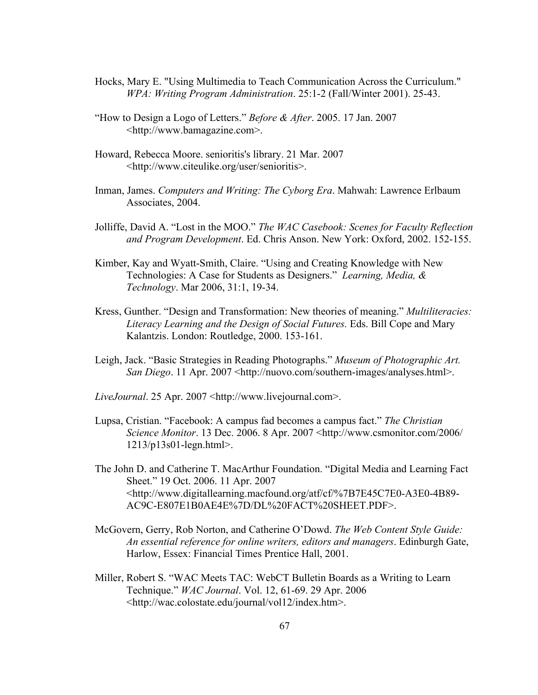- Hocks, Mary E. "Using Multimedia to Teach Communication Across the Curriculum." *WPA: Writing Program Administration*. 25:1-2 (Fall/Winter 2001). 25-43.
- "How to Design a Logo of Letters." *Before & After*. 2005. 17 Jan. 2007 <http://www.bamagazine.com>.
- Howard, Rebecca Moore. senioritis's library. 21 Mar. 2007 <http://www.citeulike.org/user/senioritis>.
- Inman, James. *Computers and Writing: The Cyborg Era*. Mahwah: Lawrence Erlbaum Associates, 2004.
- Jolliffe, David A. "Lost in the MOO." *The WAC Casebook: Scenes for Faculty Reflection and Program Development*. Ed. Chris Anson. New York: Oxford, 2002. 152-155.
- Kimber, Kay and Wyatt-Smith, Claire. "Using and Creating Knowledge with New Technologies: A Case for Students as Designers." *Learning, Media, & Technology*. Mar 2006, 31:1, 19-34.
- Kress, Gunther. "Design and Transformation: New theories of meaning." *Multiliteracies: Literacy Learning and the Design of Social Futures.* Eds. Bill Cope and Mary Kalantzis. London: Routledge, 2000. 153-161.
- Leigh, Jack. "Basic Strategies in Reading Photographs." *Museum of Photographic Art. San Diego*. 11 Apr. 2007 <http://nuovo.com/southern-images/analyses.html>.
- *LiveJournal*. 25 Apr. 2007 <http://www.livejournal.com>.
- Lupsa, Cristian. "Facebook: A campus fad becomes a campus fact." *The Christian Science Monitor*. 13 Dec. 2006. 8 Apr. 2007 <http://www.csmonitor.com/2006/ 1213/p13s01-legn.html>.
- The John D. and Catherine T. MacArthur Foundation. "Digital Media and Learning Fact Sheet." 19 Oct. 2006. 11 Apr. 2007 <http://www.digitallearning.macfound.org/atf/cf/%7B7E45C7E0-A3E0-4B89- AC9C-E807E1B0AE4E%7D/DL%20FACT%20SHEET.PDF>.
- McGovern, Gerry, Rob Norton, and Catherine O'Dowd. *The Web Content Style Guide: An essential reference for online writers, editors and managers*. Edinburgh Gate, Harlow, Essex: Financial Times Prentice Hall, 2001.
- Miller, Robert S. "WAC Meets TAC: WebCT Bulletin Boards as a Writing to Learn Technique." *WAC Journal*. Vol. 12, 61-69. 29 Apr. 2006 <http://wac.colostate.edu/journal/vol12/index.htm>.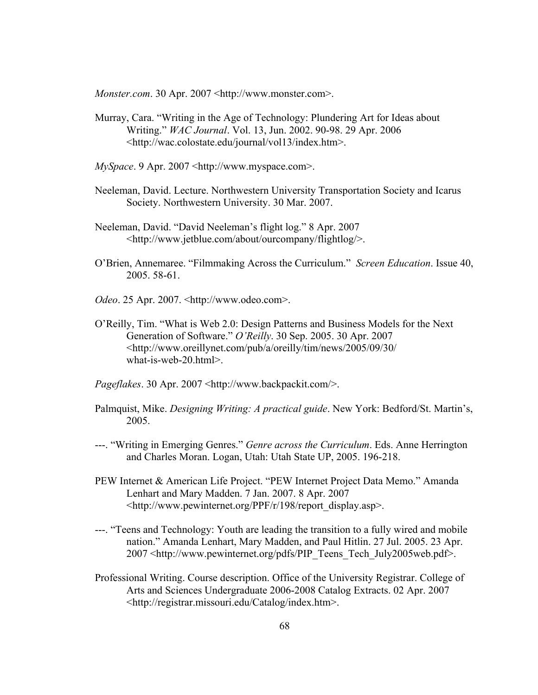*Monster.com*. 30 Apr. 2007 <http://www.monster.com>.

- Murray, Cara. "Writing in the Age of Technology: Plundering Art for Ideas about Writing." *WAC Journal*. Vol. 13, Jun. 2002. 90-98. 29 Apr. 2006 <http://wac.colostate.edu/journal/vol13/index.htm>.
- *MySpace*. 9 Apr. 2007 <http://www.myspace.com>.
- Neeleman, David. Lecture. Northwestern University Transportation Society and Icarus Society. Northwestern University. 30 Mar. 2007.
- Neeleman, David. "David Neeleman's flight log." 8 Apr. 2007 <http://www.jetblue.com/about/ourcompany/flightlog/>.
- O'Brien, Annemaree. "Filmmaking Across the Curriculum." *Screen Education*. Issue 40, 2005. 58-61.
- *Odeo*. 25 Apr. 2007. <http://www.odeo.com>.
- O'Reilly, Tim. "What is Web 2.0: Design Patterns and Business Models for the Next Generation of Software." *O'Reilly*. 30 Sep. 2005. 30 Apr. 2007 <http://www.oreillynet.com/pub/a/oreilly/tim/news/2005/09/30/ what-is-web-20.html>.
- Pageflakes. 30 Apr. 2007 <http://www.backpackit.com/>.
- Palmquist, Mike. *Designing Writing: A practical guide*. New York: Bedford/St. Martin's, 2005.
- ---. "Writing in Emerging Genres." *Genre across the Curriculum*. Eds. Anne Herrington and Charles Moran. Logan, Utah: Utah State UP, 2005. 196-218.
- PEW Internet & American Life Project. "PEW Internet Project Data Memo." Amanda Lenhart and Mary Madden. 7 Jan. 2007. 8 Apr. 2007 <http://www.pewinternet.org/PPF/r/198/report\_display.asp>.
- ---. "Teens and Technology: Youth are leading the transition to a fully wired and mobile nation." Amanda Lenhart, Mary Madden, and Paul Hitlin. 27 Jul. 2005. 23 Apr. 2007 <http://www.pewinternet.org/pdfs/PIP\_Teens\_Tech\_July2005web.pdf>.
- Professional Writing. Course description. Office of the University Registrar. College of Arts and Sciences Undergraduate 2006-2008 Catalog Extracts. 02 Apr. 2007 <http://registrar.missouri.edu/Catalog/index.htm>.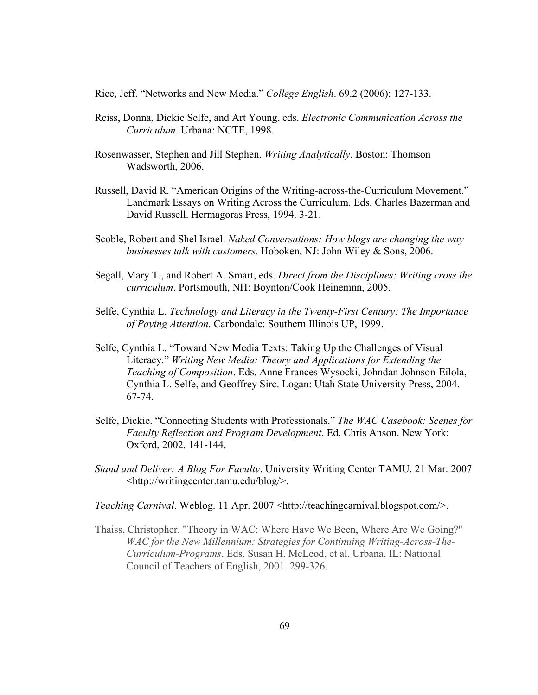Rice, Jeff. "Networks and New Media." *College English*. 69.2 (2006): 127-133.

- Reiss, Donna, Dickie Selfe, and Art Young, eds. *Electronic Communication Across the Curriculum*. Urbana: NCTE, 1998.
- Rosenwasser, Stephen and Jill Stephen. *Writing Analytically*. Boston: Thomson Wadsworth, 2006.
- Russell, David R. "American Origins of the Writing-across-the-Curriculum Movement." Landmark Essays on Writing Across the Curriculum. Eds. Charles Bazerman and David Russell. Hermagoras Press, 1994. 3-21.
- Scoble, Robert and Shel Israel. *Naked Conversations: How blogs are changing the way businesses talk with customers.* Hoboken, NJ: John Wiley & Sons, 2006.
- Segall, Mary T., and Robert A. Smart, eds. *Direct from the Disciplines: Writing cross the curriculum*. Portsmouth, NH: Boynton/Cook Heinemnn, 2005.
- Selfe, Cynthia L. *Technology and Literacy in the Twenty-First Century: The Importance of Paying Attention*. Carbondale: Southern Illinois UP, 1999.
- Selfe, Cynthia L. "Toward New Media Texts: Taking Up the Challenges of Visual Literacy." *Writing New Media: Theory and Applications for Extending the Teaching of Composition*. Eds. Anne Frances Wysocki, Johndan Johnson-Eilola, Cynthia L. Selfe, and Geoffrey Sirc. Logan: Utah State University Press, 2004. 67-74.
- Selfe, Dickie. "Connecting Students with Professionals." *The WAC Casebook: Scenes for Faculty Reflection and Program Development*. Ed. Chris Anson. New York: Oxford, 2002. 141-144.
- *Stand and Deliver: A Blog For Faculty*. University Writing Center TAMU. 21 Mar. 2007 <http://writingcenter.tamu.edu/blog/>.

*Teaching Carnival.* Weblog. 11 Apr. 2007 <http://teachingcarnival.blogspot.com/>.

Thaiss, Christopher. "Theory in WAC: Where Have We Been, Where Are We Going?" *WAC for the New Millennium: Strategies for Continuing Writing-Across-The-Curriculum-Programs*. Eds. Susan H. McLeod, et al. Urbana, IL: National Council of Teachers of English, 2001. 299-326.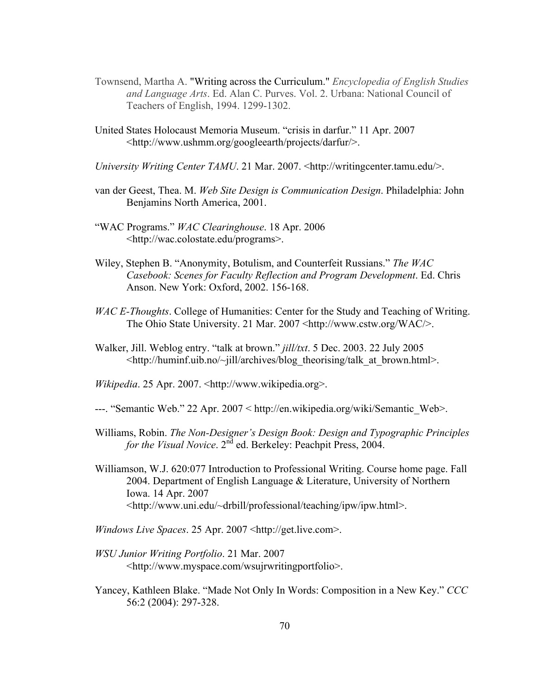- Townsend, Martha A. "Writing across the Curriculum." *Encyclopedia of English Studies and Language Arts*. Ed. Alan C. Purves. Vol. 2. Urbana: National Council of Teachers of English, 1994. 1299-1302.
- United States Holocaust Memoria Museum. "crisis in darfur." 11 Apr. 2007 <http://www.ushmm.org/googleearth/projects/darfur/>.
- *University Writing Center TAMU.* 21 Mar. 2007. <http://writingcenter.tamu.edu/>.
- van der Geest, Thea. M. *Web Site Design is Communication Design*. Philadelphia: John Benjamins North America, 2001.
- "WAC Programs." *WAC Clearinghouse*. 18 Apr. 2006 <http://wac.colostate.edu/programs>.
- Wiley, Stephen B. "Anonymity, Botulism, and Counterfeit Russians." *The WAC Casebook: Scenes for Faculty Reflection and Program Development*. Ed. Chris Anson. New York: Oxford, 2002. 156-168.
- *WAC E-Thoughts*. College of Humanities: Center for the Study and Teaching of Writing. The Ohio State University. 21 Mar. 2007 <http://www.cstw.org/WAC/>.
- Walker, Jill. Weblog entry. "talk at brown." *jill/txt*. 5 Dec. 2003. 22 July 2005 <http://huminf.uib.no/~jill/archives/blog\_theorising/talk\_at\_brown.html>.
- *Wikipedia*. 25 Apr. 2007. <http://www.wikipedia.org>.
- ---. "Semantic Web." 22 Apr. 2007 < http://en.wikipedia.org/wiki/Semantic\_Web>.
- Williams, Robin. *The Non-Designer's Design Book: Design and Typographic Principles for the Visual Novice*. 2<sup>nd</sup> ed. Berkeley: Peachpit Press, 2004.
- Williamson, W.J. 620:077 Introduction to Professional Writing. Course home page. Fall 2004. Department of English Language & Literature, University of Northern Iowa. 14 Apr. 2007 <http://www.uni.edu/~drbill/professional/teaching/ipw/ipw.html>.
- *Windows Live Spaces*. 25 Apr. 2007 <http://get.live.com>.
- *WSU Junior Writing Portfolio*. 21 Mar. 2007 <http://www.myspace.com/wsujrwritingportfolio>.
- Yancey, Kathleen Blake. "Made Not Only In Words: Composition in a New Key." *CCC* 56:2 (2004): 297-328.